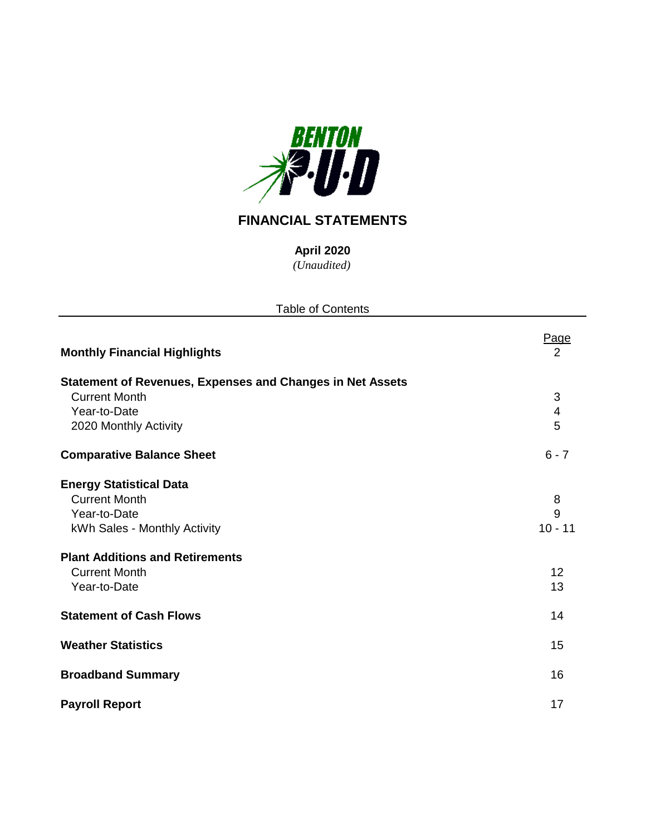

# **FINANCIAL STATEMENTS**

*(Unaudited)* **April 2020**

| <b>Table of Contents</b>                                         |                         |
|------------------------------------------------------------------|-------------------------|
| <b>Monthly Financial Highlights</b>                              | Page<br>2               |
| <b>Statement of Revenues, Expenses and Changes in Net Assets</b> |                         |
| <b>Current Month</b>                                             | $\sqrt{3}$              |
| Year-to-Date                                                     | $\overline{\mathbf{4}}$ |
| 2020 Monthly Activity                                            | 5                       |
| <b>Comparative Balance Sheet</b>                                 | $6 - 7$                 |
| <b>Energy Statistical Data</b>                                   |                         |
| <b>Current Month</b>                                             | 8                       |
| Year-to-Date                                                     | 9                       |
| kWh Sales - Monthly Activity                                     | $10 - 11$               |
| <b>Plant Additions and Retirements</b>                           |                         |
| <b>Current Month</b>                                             | 12                      |
| Year-to-Date                                                     | 13                      |
| <b>Statement of Cash Flows</b>                                   | 14                      |
| <b>Weather Statistics</b>                                        | 15                      |
| <b>Broadband Summary</b>                                         | 16                      |
| <b>Payroll Report</b>                                            | 17                      |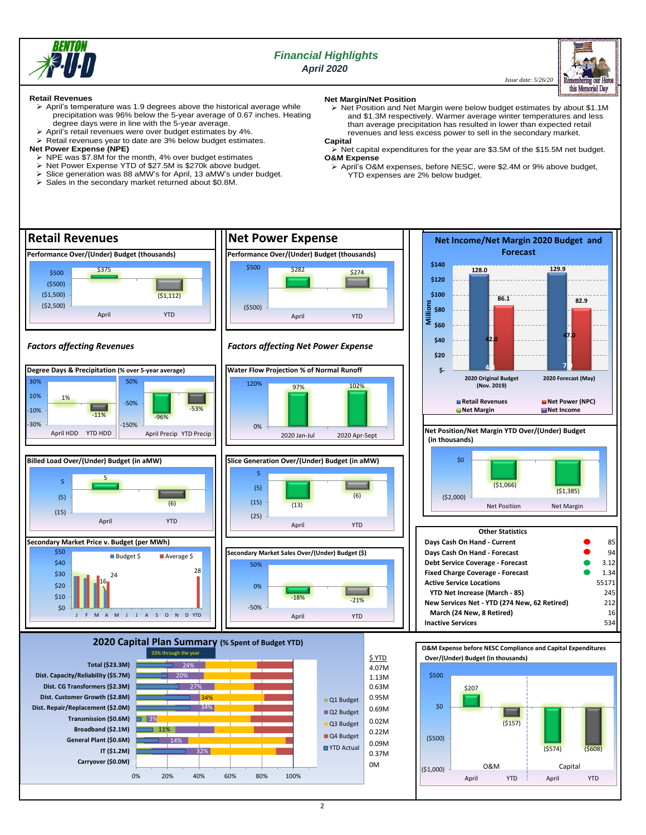

## *Financial Highlights April 2020*

 *Issue date: 5/26/20*



**Retail Revenues**

- ➢ April's temperature was 1.9 degrees above the historical average while precipitation was 96% below the 5-year average of 0.67 inches. Heating degree days were in line with the 5-year average.
- ➢ April's retail revenues were over budget estimates by 4%.
- ➢ Retail revenues year to date are 3% below budget estimates.
- **Net Power Expense (NPE)**
	- ➢ NPE was \$7.8M for the month, 4% over budget estimates
	- ➢ Net Power Expense YTD of \$27.5M is \$270k above budget.
	- Slice generation was 88 aMW's for April, 13 aMW's under budget.
	- ➢ Sales in the secondary market returned about \$0.8M.

## **Net Margin/Net Position**

➢ Net Position and Net Margin were below budget estimates by about \$1.1M and \$1.3M respectively. Warmer average winter temperatures and less than average precipitation has resulted in lower than expected retail revenues and less excess power to sell in the secondary market. **Capital**

- **•** Net capital expenditures for the year are \$3.5M of the \$15.5M net budget. **O&M Expense**
- ➢ April's O&M expenses, before NESC, were \$2.4M or 9% above budget, YTD expenses are 2% below budget.

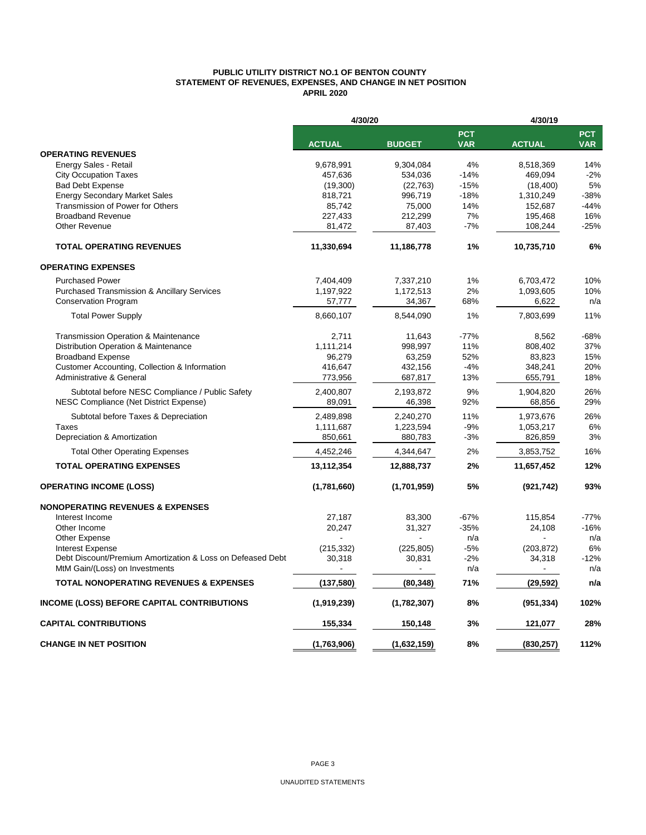## **PUBLIC UTILITY DISTRICT NO.1 OF BENTON COUNTY STATEMENT OF REVENUES, EXPENSES, AND CHANGE IN NET POSITION APRIL 2020**

|                                                                                           | 4/30/20             |                     |                          | 4/30/19             |                          |  |  |
|-------------------------------------------------------------------------------------------|---------------------|---------------------|--------------------------|---------------------|--------------------------|--|--|
|                                                                                           | <b>ACTUAL</b>       | <b>BUDGET</b>       | <b>PCT</b><br><b>VAR</b> | <b>ACTUAL</b>       | <b>PCT</b><br><b>VAR</b> |  |  |
| <b>OPERATING REVENUES</b>                                                                 |                     |                     |                          |                     |                          |  |  |
| Energy Sales - Retail                                                                     | 9,678,991           | 9,304,084           | 4%                       | 8,518,369           | 14%                      |  |  |
| <b>City Occupation Taxes</b>                                                              | 457,636             | 534,036             | $-14%$                   | 469,094             | $-2%$                    |  |  |
| <b>Bad Debt Expense</b>                                                                   | (19,300)            | (22, 763)           | $-15%$                   | (18, 400)           | 5%                       |  |  |
| <b>Energy Secondary Market Sales</b>                                                      | 818,721             | 996,719             | $-18%$                   | 1,310,249           | $-38%$                   |  |  |
| Transmission of Power for Others                                                          | 85,742              | 75,000              | 14%                      | 152,687             | $-44%$                   |  |  |
| <b>Broadband Revenue</b>                                                                  | 227,433             | 212,299             | 7%                       | 195,468             | 16%                      |  |  |
| <b>Other Revenue</b>                                                                      | 81,472              | 87,403              | $-7%$                    | 108,244             | $-25%$                   |  |  |
| <b>TOTAL OPERATING REVENUES</b>                                                           | 11,330,694          | 11,186,778          | 1%                       | 10,735,710          | 6%                       |  |  |
| <b>OPERATING EXPENSES</b>                                                                 |                     |                     |                          |                     |                          |  |  |
| <b>Purchased Power</b>                                                                    | 7,404,409           | 7,337,210           | 1%                       | 6,703,472           | 10%                      |  |  |
| <b>Purchased Transmission &amp; Ancillary Services</b>                                    | 1,197,922           | 1,172,513           | 2%                       | 1,093,605           | 10%                      |  |  |
| <b>Conservation Program</b>                                                               | 57,777              | 34,367              | 68%                      | 6,622               | n/a                      |  |  |
| <b>Total Power Supply</b>                                                                 | 8,660,107           | 8,544,090           | 1%                       | 7,803,699           | 11%                      |  |  |
| Transmission Operation & Maintenance                                                      | 2,711               | 11,643              | $-77%$                   | 8,562               | $-68%$                   |  |  |
| Distribution Operation & Maintenance                                                      | 1,111,214           | 998,997             | 11%                      | 808,402             | 37%                      |  |  |
| <b>Broadband Expense</b>                                                                  | 96,279              | 63,259              | 52%                      | 83,823              | 15%                      |  |  |
|                                                                                           | 416,647             | 432,156             | $-4%$                    | 348,241             | 20%                      |  |  |
| Customer Accounting, Collection & Information<br>Administrative & General                 | 773,956             | 687,817             | 13%                      | 655,791             | 18%                      |  |  |
|                                                                                           |                     |                     |                          |                     |                          |  |  |
| Subtotal before NESC Compliance / Public Safety<br>NESC Compliance (Net District Expense) | 2,400,807<br>89,091 | 2,193,872<br>46,398 | 9%<br>92%                | 1,904,820<br>68,856 | 26%<br>29%               |  |  |
| Subtotal before Taxes & Depreciation                                                      | 2,489,898           | 2,240,270           | 11%                      | 1,973,676           | 26%                      |  |  |
| <b>Taxes</b>                                                                              | 1,111,687           | 1,223,594           | $-9%$                    | 1,053,217           | 6%                       |  |  |
| Depreciation & Amortization                                                               | 850,661             | 880,783             | $-3%$                    | 826,859             | 3%                       |  |  |
| <b>Total Other Operating Expenses</b>                                                     | 4,452,246           | 4,344,647           | 2%                       | 3,853,752           | 16%                      |  |  |
| <b>TOTAL OPERATING EXPENSES</b>                                                           | 13,112,354          | 12,888,737          | 2%                       | 11,657,452          | 12%                      |  |  |
| <b>OPERATING INCOME (LOSS)</b>                                                            | (1,781,660)         | (1,701,959)         | 5%                       | (921, 742)          | 93%                      |  |  |
| <b>NONOPERATING REVENUES &amp; EXPENSES</b>                                               |                     |                     |                          |                     |                          |  |  |
| Interest Income                                                                           | 27,187              | 83,300              | $-67%$                   | 115,854             | $-77%$                   |  |  |
| Other Income                                                                              | 20,247              | 31,327              | $-35%$                   | 24,108              | $-16%$                   |  |  |
| Other Expense                                                                             |                     |                     | n/a                      |                     | n/a                      |  |  |
| <b>Interest Expense</b>                                                                   | (215, 332)          | (225, 805)          | $-5%$                    | (203, 872)          | 6%                       |  |  |
| Debt Discount/Premium Amortization & Loss on Defeased Debt                                | 30,318              | 30,831              | $-2%$                    | 34,318              | $-12%$                   |  |  |
| MtM Gain/(Loss) on Investments                                                            | ÷,                  | $\blacksquare$      | n/a                      | $\blacksquare$      | n/a                      |  |  |
| <b>TOTAL NONOPERATING REVENUES &amp; EXPENSES</b>                                         | (137,580)           | (80, 348)           | 71%                      | (29, 592)           | n/a                      |  |  |
| <b>INCOME (LOSS) BEFORE CAPITAL CONTRIBUTIONS</b>                                         | (1,919,239)         | (1,782,307)         | 8%                       | (951, 334)          | 102%                     |  |  |
| <b>CAPITAL CONTRIBUTIONS</b>                                                              | 155,334             | 150,148             | 3%                       | 121,077             | 28%                      |  |  |
| <b>CHANGE IN NET POSITION</b>                                                             | (1,763,906)         | (1,632,159)         | 8%                       | (830, 257)          | 112%                     |  |  |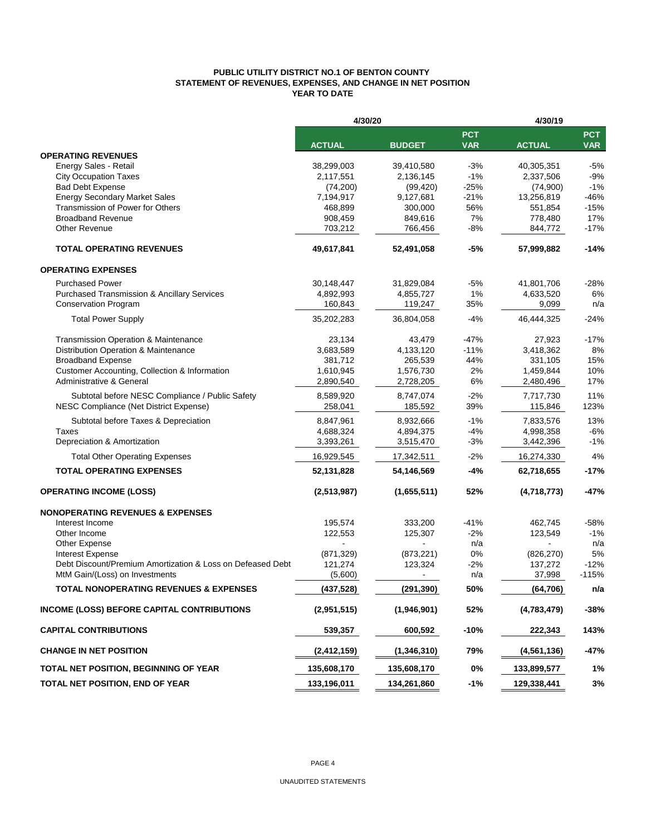## **PUBLIC UTILITY DISTRICT NO.1 OF BENTON COUNTY STATEMENT OF REVENUES, EXPENSES, AND CHANGE IN NET POSITION YEAR TO DATE**

|                                                            | 4/30/20       |               |                          | 4/30/19       |                          |  |  |
|------------------------------------------------------------|---------------|---------------|--------------------------|---------------|--------------------------|--|--|
|                                                            | <b>ACTUAL</b> | <b>BUDGET</b> | <b>PCT</b><br><b>VAR</b> | <b>ACTUAL</b> | <b>PCT</b><br><b>VAR</b> |  |  |
| <b>OPERATING REVENUES</b>                                  |               |               |                          |               |                          |  |  |
| Energy Sales - Retail                                      | 38,299,003    | 39,410,580    | $-3%$                    | 40,305,351    | $-5%$                    |  |  |
| <b>City Occupation Taxes</b>                               | 2,117,551     | 2,136,145     | $-1%$                    | 2,337,506     | $-9%$                    |  |  |
| <b>Bad Debt Expense</b>                                    | (74, 200)     | (99, 420)     | $-25%$                   | (74,900)      | $-1%$                    |  |  |
| <b>Energy Secondary Market Sales</b>                       | 7,194,917     | 9,127,681     | $-21%$                   | 13,256,819    | $-46%$                   |  |  |
| Transmission of Power for Others                           | 468,899       | 300,000       | 56%                      | 551,854       | $-15%$                   |  |  |
| <b>Broadband Revenue</b>                                   | 908,459       | 849,616       | 7%                       | 778,480       | 17%                      |  |  |
| <b>Other Revenue</b>                                       | 703,212       | 766,456       | $-8%$                    | 844,772       | $-17%$                   |  |  |
| <b>TOTAL OPERATING REVENUES</b>                            | 49,617,841    | 52,491,058    | $-5%$                    | 57,999,882    | $-14%$                   |  |  |
| <b>OPERATING EXPENSES</b>                                  |               |               |                          |               |                          |  |  |
| <b>Purchased Power</b>                                     | 30,148,447    | 31,829,084    | $-5%$                    | 41,801,706    | -28%                     |  |  |
| <b>Purchased Transmission &amp; Ancillary Services</b>     | 4,892,993     | 4,855,727     | 1%                       | 4,633,520     | 6%                       |  |  |
| <b>Conservation Program</b>                                | 160,843       | 119,247       | 35%                      | 9,099         | n/a                      |  |  |
| <b>Total Power Supply</b>                                  | 35,202,283    | 36,804,058    | $-4%$                    | 46,444,325    | $-24%$                   |  |  |
| <b>Transmission Operation &amp; Maintenance</b>            | 23,134        | 43,479        | $-47%$                   | 27,923        | $-17%$                   |  |  |
| Distribution Operation & Maintenance                       | 3,683,589     | 4,133,120     | $-11%$                   | 3,418,362     | 8%                       |  |  |
| <b>Broadband Expense</b>                                   | 381,712       | 265,539       | 44%                      | 331,105       | 15%                      |  |  |
| Customer Accounting, Collection & Information              | 1,610,945     | 1,576,730     | 2%                       | 1,459,844     | 10%                      |  |  |
| <b>Administrative &amp; General</b>                        | 2,890,540     | 2,728,205     | 6%                       | 2,480,496     | 17%                      |  |  |
| Subtotal before NESC Compliance / Public Safety            | 8,589,920     | 8,747,074     | $-2%$                    | 7,717,730     | 11%                      |  |  |
| NESC Compliance (Net District Expense)                     | 258,041       | 185,592       | 39%                      | 115,846       | 123%                     |  |  |
| Subtotal before Taxes & Depreciation                       | 8,847,961     | 8,932,666     | $-1%$                    | 7,833,576     | 13%                      |  |  |
| Taxes                                                      | 4,688,324     | 4,894,375     | $-4%$                    | 4,998,358     | $-6%$                    |  |  |
| Depreciation & Amortization                                | 3,393,261     | 3,515,470     | $-3%$                    | 3,442,396     | $-1%$                    |  |  |
| <b>Total Other Operating Expenses</b>                      | 16,929,545    | 17,342,511    | $-2%$                    | 16,274,330    | 4%                       |  |  |
| <b>TOTAL OPERATING EXPENSES</b>                            | 52,131,828    | 54,146,569    | $-4%$                    | 62,718,655    | -17%                     |  |  |
| <b>OPERATING INCOME (LOSS)</b>                             | (2,513,987)   | (1,655,511)   | 52%                      | (4,718,773)   | $-47%$                   |  |  |
| <b>NONOPERATING REVENUES &amp; EXPENSES</b>                |               |               |                          |               |                          |  |  |
| Interest Income                                            | 195,574       | 333,200       | $-41%$                   | 462,745       | $-58%$                   |  |  |
| Other Income                                               | 122,553       | 125,307       | $-2%$                    | 123,549       | $-1%$                    |  |  |
| Other Expense                                              |               |               | n/a                      |               | n/a                      |  |  |
| Interest Expense                                           | (871, 329)    | (873, 221)    | 0%                       | (826, 270)    | 5%                       |  |  |
| Debt Discount/Premium Amortization & Loss on Defeased Debt | 121,274       | 123,324       | $-2%$                    | 137,272       | $-12%$                   |  |  |
| MtM Gain/(Loss) on Investments                             | (5,600)       |               | n/a                      | 37,998        | $-115%$                  |  |  |
| <b>TOTAL NONOPERATING REVENUES &amp; EXPENSES</b>          | (437, 528)    | (291, 390)    | 50%                      | (64, 706)     | n/a                      |  |  |
| INCOME (LOSS) BEFORE CAPITAL CONTRIBUTIONS                 | (2,951,515)   | (1,946,901)   | 52%                      | (4,783,479)   | $-38%$                   |  |  |
| <b>CAPITAL CONTRIBUTIONS</b>                               | 539,357       | 600,592       | $-10%$                   | 222,343       | 143%                     |  |  |
| <b>CHANGE IN NET POSITION</b>                              | (2, 412, 159) | (1,346,310)   | 79%                      | (4, 561, 136) | $-47%$                   |  |  |
| TOTAL NET POSITION, BEGINNING OF YEAR                      | 135,608,170   | 135,608,170   | 0%                       | 133,899,577   | 1%                       |  |  |
| TOTAL NET POSITION, END OF YEAR                            | 133,196,011   | 134,261,860   | $-1%$                    | 129,338,441   | 3%                       |  |  |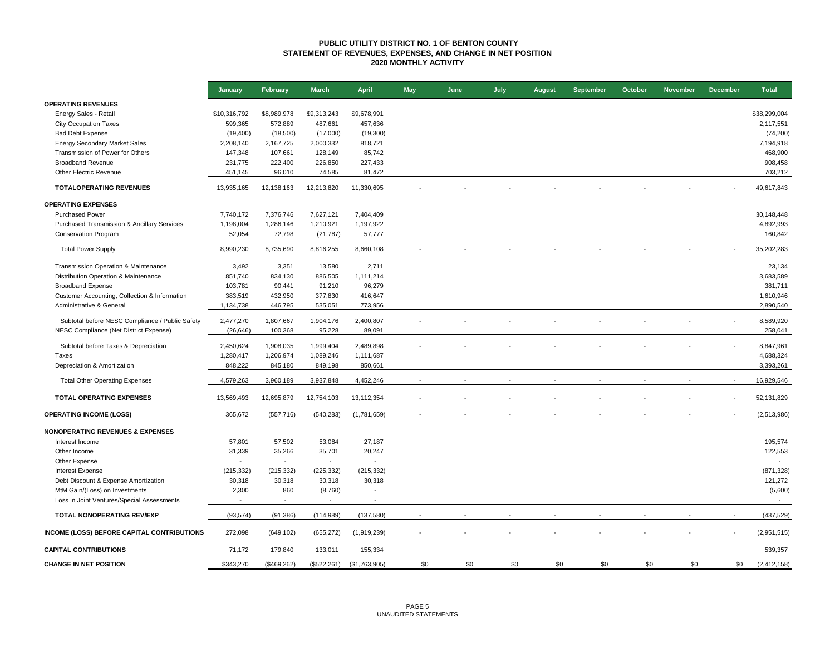## **PUBLIC UTILITY DISTRICT NO. 1 OF BENTON COUNTY STATEMENT OF REVENUES, EXPENSES, AND CHANGE IN NET POSITION 2020 MONTHLY ACTIVITY**

|                                                 | January      | February       | <b>March</b> | <b>April</b>             | <b>May</b> | June | July | August | September | October | <b>November</b> | <b>December</b> | <b>Total</b>  |
|-------------------------------------------------|--------------|----------------|--------------|--------------------------|------------|------|------|--------|-----------|---------|-----------------|-----------------|---------------|
| <b>OPERATING REVENUES</b>                       |              |                |              |                          |            |      |      |        |           |         |                 |                 |               |
| Energy Sales - Retail                           | \$10,316,792 | \$8,989,978    | \$9,313,243  | \$9,678,991              |            |      |      |        |           |         |                 |                 | \$38,299,004  |
| <b>City Occupation Taxes</b>                    | 599,365      | 572,889        | 487,661      | 457,636                  |            |      |      |        |           |         |                 |                 | 2,117,551     |
| <b>Bad Debt Expense</b>                         | (19, 400)    | (18,500)       | (17,000)     | (19,300)                 |            |      |      |        |           |         |                 |                 | (74, 200)     |
| <b>Energy Secondary Market Sales</b>            | 2,208,140    | 2,167,725      | 2,000,332    | 818,721                  |            |      |      |        |           |         |                 |                 | 7,194,918     |
| Transmission of Power for Others                | 147,348      | 107,661        | 128,149      | 85,742                   |            |      |      |        |           |         |                 |                 | 468,900       |
| <b>Broadband Revenue</b>                        | 231,775      | 222,400        | 226,850      | 227,433                  |            |      |      |        |           |         |                 |                 | 908,458       |
| Other Electric Revenue                          | 451,145      | 96,010         | 74,585       | 81,472                   |            |      |      |        |           |         |                 |                 | 703,212       |
| <b>TOTALOPERATING REVENUES</b>                  | 13,935,165   | 12,138,163     | 12,213,820   | 11,330,695               |            |      |      |        |           |         |                 |                 | 49,617,843    |
| <b>OPERATING EXPENSES</b>                       |              |                |              |                          |            |      |      |        |           |         |                 |                 |               |
| <b>Purchased Power</b>                          | 7,740,172    | 7,376,746      | 7,627,121    | 7,404,409                |            |      |      |        |           |         |                 |                 | 30,148,448    |
| Purchased Transmission & Ancillary Services     | 1,198,004    | 1,286,146      | 1,210,921    | 1,197,922                |            |      |      |        |           |         |                 |                 | 4,892,993     |
| <b>Conservation Program</b>                     | 52,054       | 72,798         | (21, 787)    | 57,777                   |            |      |      |        |           |         |                 |                 | 160,842       |
| <b>Total Power Supply</b>                       | 8,990,230    | 8,735,690      | 8,816,255    | 8,660,108                |            |      |      |        |           |         |                 |                 | 35,202,283    |
| Transmission Operation & Maintenance            | 3,492        | 3,351          | 13,580       | 2,711                    |            |      |      |        |           |         |                 |                 | 23,134        |
| Distribution Operation & Maintenance            | 851,740      | 834,130        | 886,505      | 1,111,214                |            |      |      |        |           |         |                 |                 | 3,683,589     |
| <b>Broadband Expense</b>                        | 103,781      | 90,441         | 91,210       | 96,279                   |            |      |      |        |           |         |                 |                 | 381,711       |
| Customer Accounting, Collection & Information   | 383,519      | 432,950        | 377,830      | 416,647                  |            |      |      |        |           |         |                 |                 | 1,610,946     |
| Administrative & General                        | 1,134,738    | 446,795        | 535,051      | 773,956                  |            |      |      |        |           |         |                 |                 | 2,890,540     |
| Subtotal before NESC Compliance / Public Safety | 2,477,270    | 1,807,667      | 1,904,176    | 2,400,807                |            |      |      |        |           |         |                 |                 | 8,589,920     |
| NESC Compliance (Net District Expense)          | (26, 646)    | 100,368        | 95,228       | 89,091                   |            |      |      |        |           |         |                 |                 | 258,041       |
| Subtotal before Taxes & Depreciation            | 2,450,624    | 1,908,035      | 1,999,404    | 2,489,898                |            |      |      |        |           |         |                 |                 | 8,847,961     |
| Taxes                                           | 1,280,417    | 1,206,974      | 1,089,246    | 1,111,687                |            |      |      |        |           |         |                 |                 | 4,688,324     |
| Depreciation & Amortization                     | 848,222      | 845,180        | 849,198      | 850,661                  |            |      |      |        |           |         |                 |                 | 3,393,261     |
| <b>Total Other Operating Expenses</b>           | 4,579,263    | 3,960,189      | 3,937,848    | 4,452,246                |            |      |      |        |           |         |                 |                 | 16,929,546    |
| TOTAL OPERATING EXPENSES                        | 13,569,493   | 12,695,879     | 12,754,103   | 13,112,354               |            |      |      |        |           |         |                 |                 | 52,131,829    |
| <b>OPERATING INCOME (LOSS)</b>                  | 365,672      | (557, 716)     | (540, 283)   | (1,781,659)              |            |      |      |        |           |         |                 |                 | (2,513,986)   |
| <b>NONOPERATING REVENUES &amp; EXPENSES</b>     |              |                |              |                          |            |      |      |        |           |         |                 |                 |               |
| Interest Income                                 | 57,801       | 57,502         | 53,084       | 27,187                   |            |      |      |        |           |         |                 |                 | 195,574       |
| Other Income                                    | 31,339       | 35,266         | 35,701       | 20,247                   |            |      |      |        |           |         |                 |                 | 122,553       |
| Other Expense                                   | $\sim$       | $\blacksquare$ | $\mathbf{r}$ | $\overline{a}$           |            |      |      |        |           |         |                 |                 | $\sim$        |
| <b>Interest Expense</b>                         | (215, 332)   | (215, 332)     | (225, 332)   | (215, 332)               |            |      |      |        |           |         |                 |                 | (871, 328)    |
| Debt Discount & Expense Amortization            | 30,318       | 30,318         | 30,318       | 30,318                   |            |      |      |        |           |         |                 |                 | 121,272       |
| MtM Gain/(Loss) on Investments                  | 2,300        | 860            | (8,760)      | $\overline{\phantom{a}}$ |            |      |      |        |           |         |                 |                 | (5,600)       |
| Loss in Joint Ventures/Special Assessments      | $\sim$       | $\sim$         | $\sim$       | $\overline{a}$           |            |      |      |        |           |         |                 |                 | $\sim$        |
| TOTAL NONOPERATING REV/EXP                      | (93, 574)    | (91, 386)      | (114, 989)   | (137,580)                |            |      |      |        |           |         |                 |                 | (437, 529)    |
| INCOME (LOSS) BEFORE CAPITAL CONTRIBUTIONS      | 272,098      | (649, 102)     | (655, 272)   | (1,919,239)              |            |      |      |        |           |         |                 |                 | (2,951,515)   |
| <b>CAPITAL CONTRIBUTIONS</b>                    | 71,172       | 179,840        | 133,011      | 155,334                  |            |      |      |        |           |         |                 |                 | 539,357       |
| <b>CHANGE IN NET POSITION</b>                   | \$343,270    | (\$469,262)    | (\$522,261)  | (\$1,763,905)            | \$0        | \$0  | \$0  | \$0    | \$0       | \$0     | \$0             | \$0             | (2, 412, 158) |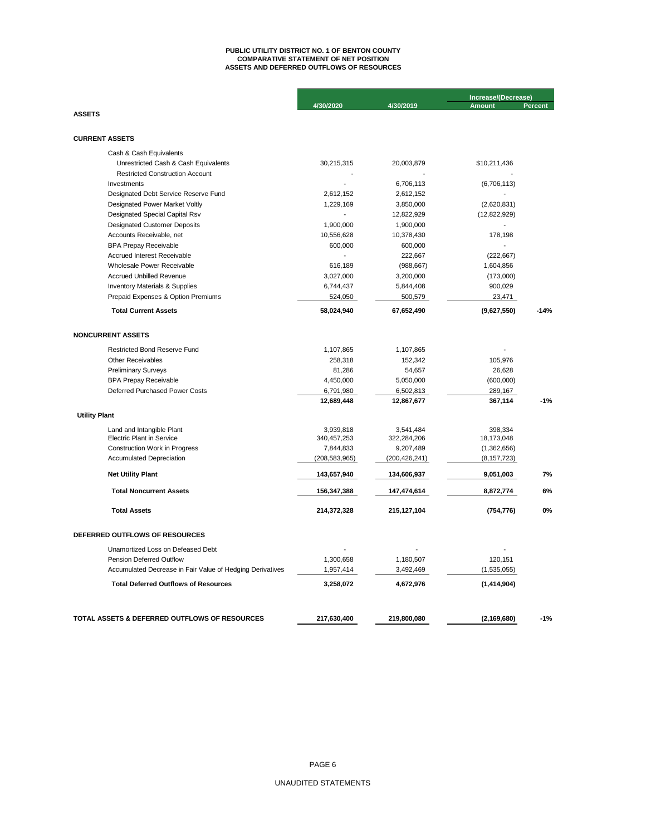# **ASSETS AND DEFERRED OUTFLOWS OF RESOURCES PUBLIC UTILITY DISTRICT NO. 1 OF BENTON COUNTY COMPARATIVE STATEMENT OF NET POSITION**

|                                                                 |                 |                 | Increase/(Decrease) |                |
|-----------------------------------------------------------------|-----------------|-----------------|---------------------|----------------|
| <b>ASSETS</b>                                                   | 4/30/2020       | 4/30/2019       | <b>Amount</b>       | <b>Percent</b> |
|                                                                 |                 |                 |                     |                |
| <b>CURRENT ASSETS</b>                                           |                 |                 |                     |                |
|                                                                 |                 |                 |                     |                |
| Cash & Cash Equivalents<br>Unrestricted Cash & Cash Equivalents | 30,215,315      | 20,003,879      | \$10,211,436        |                |
| <b>Restricted Construction Account</b>                          |                 |                 |                     |                |
| Investments                                                     |                 | 6,706,113       | (6,706,113)         |                |
| Designated Debt Service Reserve Fund                            | 2,612,152       | 2,612,152       | ÷.                  |                |
| Designated Power Market Voltly                                  | 1,229,169       | 3,850,000       | (2,620,831)         |                |
| Designated Special Capital Rsv                                  |                 | 12,822,929      | (12, 822, 929)      |                |
| <b>Designated Customer Deposits</b>                             | 1,900,000       | 1,900,000       |                     |                |
| Accounts Receivable, net                                        | 10,556,628      | 10,378,430      | 178,198             |                |
| <b>BPA Prepay Receivable</b>                                    | 600,000         | 600,000         |                     |                |
| Accrued Interest Receivable                                     |                 | 222,667         | (222, 667)          |                |
| Wholesale Power Receivable                                      | 616,189         | (988, 667)      | 1,604,856           |                |
| <b>Accrued Unbilled Revenue</b>                                 | 3,027,000       | 3,200,000       | (173,000)           |                |
| <b>Inventory Materials &amp; Supplies</b>                       | 6,744,437       | 5,844,408       | 900,029             |                |
| Prepaid Expenses & Option Premiums                              | 524,050         | 500,579         | 23,471              |                |
| <b>Total Current Assets</b>                                     | 58,024,940      | 67,652,490      | (9,627,550)         | $-14%$         |
|                                                                 |                 |                 |                     |                |
| <b>NONCURRENT ASSETS</b>                                        |                 |                 |                     |                |
| <b>Restricted Bond Reserve Fund</b>                             | 1,107,865       | 1,107,865       |                     |                |
| Other Receivables                                               | 258,318         | 152,342         | 105,976             |                |
| <b>Preliminary Surveys</b>                                      | 81,286          | 54,657          | 26,628              |                |
| <b>BPA Prepay Receivable</b>                                    | 4,450,000       | 5,050,000       | (600,000)           |                |
| Deferred Purchased Power Costs                                  | 6,791,980       | 6,502,813       | 289,167             |                |
|                                                                 | 12,689,448      | 12,867,677      | 367,114             | $-1%$          |
| <b>Utility Plant</b>                                            |                 |                 |                     |                |
| Land and Intangible Plant                                       | 3,939,818       | 3.541.484       | 398.334             |                |
| <b>Electric Plant in Service</b>                                | 340, 457, 253   | 322,284,206     | 18,173,048          |                |
| <b>Construction Work in Progress</b>                            | 7,844,833       | 9,207,489       | (1,362,656)         |                |
| <b>Accumulated Depreciation</b>                                 | (208, 583, 965) | (200, 426, 241) | (8, 157, 723)       |                |
| <b>Net Utility Plant</b>                                        | 143,657,940     | 134,606,937     | 9,051,003           | 7%             |
| <b>Total Noncurrent Assets</b>                                  | 156,347,388     | 147,474,614     | 8,872,774           | 6%             |
| <b>Total Assets</b>                                             | 214,372,328     | 215,127,104     | (754, 776)          | 0%             |
| DEFERRED OUTFLOWS OF RESOURCES                                  |                 |                 |                     |                |
| Unamortized Loss on Defeased Debt                               |                 |                 |                     |                |
| Pension Deferred Outflow                                        | 1,300,658       | 1,180,507       | 120,151             |                |
| Accumulated Decrease in Fair Value of Hedging Derivatives       | 1,957,414       | 3,492,469       | (1,535,055)         |                |
|                                                                 |                 |                 |                     |                |
| <b>Total Deferred Outflows of Resources</b>                     | 3,258,072       | 4,672,976       | (1,414,904)         |                |
|                                                                 |                 |                 |                     |                |
| TOTAL ASSETS & DEFERRED OUTFLOWS OF RESOURCES                   | 217,630,400     | 219,800,080     | (2, 169, 680)       | $-1%$          |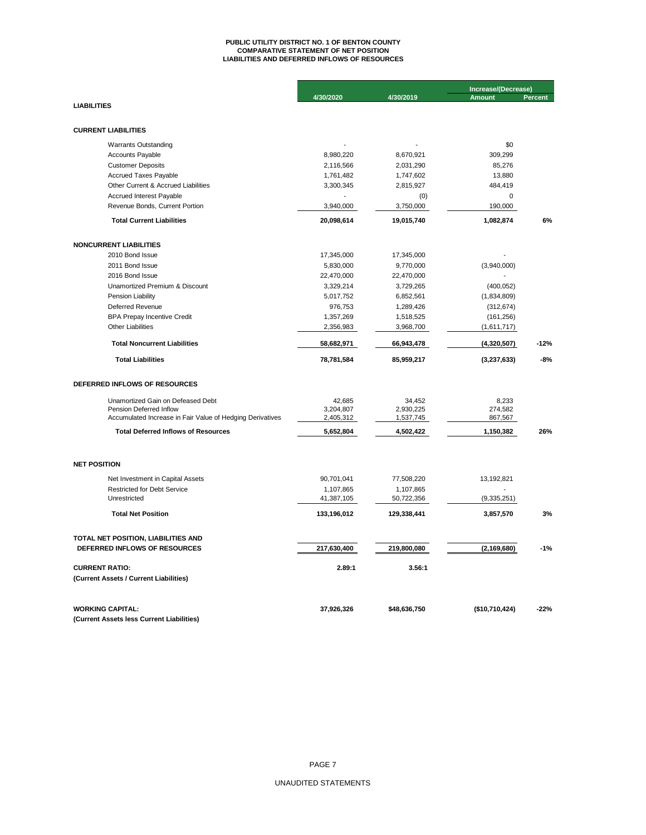# **PUBLIC UTILITY DISTRICT NO. 1 OF BENTON COUNTY COMPARATIVE STATEMENT OF NET POSITION LIABILITIES AND DEFERRED INFLOWS OF RESOURCES**

|                                                              |                     |                     | Increase/(Decrease) |                |
|--------------------------------------------------------------|---------------------|---------------------|---------------------|----------------|
|                                                              | 4/30/2020           | 4/30/2019           | <b>Amount</b>       | <b>Percent</b> |
| <b>LIABILITIES</b>                                           |                     |                     |                     |                |
|                                                              |                     |                     |                     |                |
| <b>CURRENT LIABILITIES</b>                                   |                     |                     |                     |                |
| <b>Warrants Outstanding</b>                                  |                     |                     | \$0                 |                |
| Accounts Payable                                             | 8,980,220           | 8,670,921           | 309,299             |                |
| <b>Customer Deposits</b>                                     | 2,116,566           | 2,031,290           | 85,276              |                |
| <b>Accrued Taxes Payable</b>                                 | 1,761,482           | 1,747,602           | 13,880              |                |
| Other Current & Accrued Liabilities                          | 3,300,345           | 2,815,927           | 484,419             |                |
| Accrued Interest Payable                                     |                     | (0)                 | $\mathbf 0$         |                |
| Revenue Bonds, Current Portion                               | 3,940,000           | 3,750,000           | 190,000             |                |
| <b>Total Current Liabilities</b>                             | 20,098,614          | 19,015,740          | 1,082,874           | 6%             |
| <b>NONCURRENT LIABILITIES</b>                                |                     |                     |                     |                |
| 2010 Bond Issue                                              | 17,345,000          | 17,345,000          |                     |                |
| 2011 Bond Issue                                              | 5,830,000           | 9,770,000           | (3,940,000)         |                |
| 2016 Bond Issue                                              | 22,470,000          | 22,470,000          |                     |                |
| Unamortized Premium & Discount                               | 3,329,214           | 3,729,265           | (400, 052)          |                |
| Pension Liability                                            | 5,017,752           | 6,852,561           | (1,834,809)         |                |
| Deferred Revenue                                             | 976,753             | 1,289,426           | (312, 674)          |                |
| <b>BPA Prepay Incentive Credit</b>                           | 1,357,269           | 1,518,525           | (161, 256)          |                |
| <b>Other Liabilities</b>                                     | 2,356,983           | 3,968,700           | (1,611,717)         |                |
| <b>Total Noncurrent Liabilities</b>                          | 58,682,971          | 66,943,478          | (4,320,507)         | $-12%$         |
| <b>Total Liabilities</b>                                     | 78,781,584          | 85,959,217          | (3, 237, 633)       | $-8%$          |
| DEFERRED INFLOWS OF RESOURCES                                |                     |                     |                     |                |
|                                                              |                     |                     |                     |                |
| Unamortized Gain on Defeased Debt<br>Pension Deferred Inflow | 42,685<br>3,204,807 | 34,452<br>2,930,225 | 8,233<br>274,582    |                |
| Accumulated Increase in Fair Value of Hedging Derivatives    | 2,405,312           | 1,537,745           | 867,567             |                |
| <b>Total Deferred Inflows of Resources</b>                   | 5,652,804           | 4,502,422           | 1,150,382           | 26%            |
|                                                              |                     |                     |                     |                |
| <b>NET POSITION</b>                                          |                     |                     |                     |                |
| Net Investment in Capital Assets                             | 90,701,041          | 77,508,220          | 13,192,821          |                |
| <b>Restricted for Debt Service</b>                           | 1,107,865           | 1,107,865           |                     |                |
| Unrestricted                                                 | 41,387,105          | 50,722,356          | (9,335,251)         |                |
| <b>Total Net Position</b>                                    | 133,196,012         | 129,338,441         | 3,857,570           | 3%             |
| TOTAL NET POSITION, LIABILITIES AND                          |                     |                     |                     |                |
| DEFERRED INFLOWS OF RESOURCES                                | 217,630,400         | 219,800,080         | (2, 169, 680)       | $-1%$          |
| <b>CURRENT RATIO:</b>                                        | 2.89:1              | 3.56:1              |                     |                |
| (Current Assets / Current Liabilities)                       |                     |                     |                     |                |
| <b>WORKING CAPITAL:</b>                                      | 37,926,326          | \$48,636,750        | (\$10,710,424)      | $-22%$         |
| (Current Assets less Current Liabilities)                    |                     |                     |                     |                |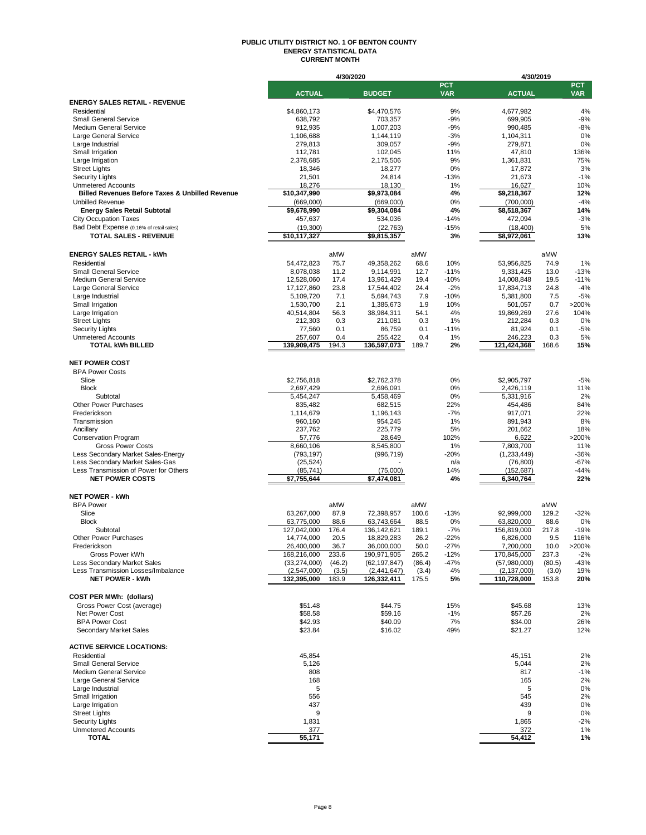## **PUBLIC UTILITY DISTRICT NO. 1 OF BENTON COUNTY ENERGY STATISTICAL DATA CURRENT MONTH**

|                                                                   |                               | 4/30/2020      |                              |                |                          |                               | 4/30/2019       |                          |
|-------------------------------------------------------------------|-------------------------------|----------------|------------------------------|----------------|--------------------------|-------------------------------|-----------------|--------------------------|
|                                                                   | <b>ACTUAL</b>                 |                | <b>BUDGET</b>                |                | <b>PCT</b><br><b>VAR</b> | <b>ACTUAL</b>                 |                 | <b>PCT</b><br><b>VAR</b> |
| <b>ENERGY SALES RETAIL - REVENUE</b>                              |                               |                |                              |                |                          |                               |                 |                          |
| Residential                                                       | \$4,860,173                   |                | \$4.470.576                  |                | 9%                       | 4,677,982                     |                 | 4%                       |
| <b>Small General Service</b>                                      | 638,792                       |                | 703,357                      |                | $-9%$                    | 699,905                       |                 | $-9%$                    |
| <b>Medium General Service</b>                                     | 912,935                       |                | 1,007,203                    |                | $-9%$                    | 990,485                       |                 | $-8%$                    |
| Large General Service                                             | 1,106,688                     |                | 1,144,119                    |                | $-3%$                    | 1,104,311                     |                 | 0%                       |
| Large Industrial                                                  | 279,813                       |                | 309,057                      |                | $-9%$                    | 279,871                       |                 | 0%                       |
| Small Irrigation<br>Large Irrigation                              | 112,781<br>2,378,685          |                | 102,045<br>2,175,506         |                | 11%<br>9%                | 47,810<br>1,361,831           |                 | 136%<br>75%              |
| <b>Street Lights</b>                                              | 18,346                        |                | 18,277                       |                | 0%                       | 17,872                        |                 | 3%                       |
| <b>Security Lights</b>                                            | 21,501                        |                | 24,814                       |                | $-13%$                   | 21,673                        |                 | $-1%$                    |
| <b>Unmetered Accounts</b>                                         | 18,276                        |                | 18,130                       |                | 1%                       | 16,627                        |                 | 10%                      |
| <b>Billed Revenues Before Taxes &amp; Unbilled Revenue</b>        | \$10,347,990                  |                | \$9,973,084                  |                | 4%                       | \$9,218,367                   |                 | 12%                      |
| <b>Unbilled Revenue</b>                                           | (669,000)                     |                | (669,000)                    |                | 0%                       | (700,000)                     |                 | $-4%$                    |
| <b>Energy Sales Retail Subtotal</b>                               | \$9,678,990                   |                | \$9,304,084                  |                | 4%                       | \$8,518,367                   |                 | 14%                      |
| <b>City Occupation Taxes</b>                                      | 457,637                       |                | 534,036                      |                | $-14%$                   | 472,094                       |                 | $-3%$                    |
| Bad Debt Expense (0.16% of retail sales)                          | (19,300)                      |                | (22, 763)                    |                | $-15%$                   | (18, 400)                     |                 | 5%                       |
| <b>TOTAL SALES - REVENUE</b>                                      | \$10,117,327                  |                | \$9,815,357                  |                | 3%                       | \$8,972,061                   |                 | 13%                      |
| <b>ENERGY SALES RETAIL - kWh</b>                                  |                               | aMW            |                              | aMW            |                          |                               | aMW             |                          |
| Residential                                                       | 54,472,823                    | 75.7           | 49,358,262                   | 68.6           | 10%                      | 53,956,825                    | 74.9            | 1%                       |
| <b>Small General Service</b>                                      | 8,078,038                     | 11.2           | 9,114,991                    | 12.7           | $-11%$                   | 9,331,425                     | 13.0            | $-13%$                   |
| <b>Medium General Service</b>                                     | 12,528,060                    | 17.4           | 13,961,429                   | 19.4           | $-10%$                   | 14,008,848                    | 19.5            | $-11%$                   |
| Large General Service                                             | 17,127,860                    | 23.8           | 17,544,402                   | 24.4           | $-2%$                    | 17,834,713                    | 24.8            | $-4%$                    |
| Large Industrial                                                  | 5,109,720                     | 7.1            | 5,694,743                    | 7.9            | $-10%$                   | 5.381.800                     | 7.5             | $-5%$                    |
| Small Irrigation                                                  | 1,530,700                     | 2.1            | 1,385,673                    | 1.9            | 10%                      | 501.057                       | 0.7             | >200%                    |
| Large Irrigation                                                  | 40,514,804                    | 56.3           | 38,984,311                   | 54.1           | 4%                       | 19,869,269                    | 27.6            | 104%                     |
| <b>Street Lights</b>                                              | 212,303                       | 0.3            | 211,081                      | 0.3            | 1%                       | 212,284                       | 0.3             | 0%                       |
| <b>Security Lights</b>                                            | 77,560                        | 0.1            | 86,759                       | 0.1            | $-11%$                   | 81,924                        | 0.1             | $-5%$                    |
| <b>Unmetered Accounts</b><br><b>TOTAL kWh BILLED</b>              | 257,607<br>139,909,475        | 0.4<br>194.3   | 255,422<br>136,597,073       | 0.4<br>189.7   | 1%<br>2%                 | 246.223<br>121,424,368        | 0.3<br>168.6    | 5%<br>15%                |
|                                                                   |                               |                |                              |                |                          |                               |                 |                          |
| <b>NET POWER COST</b>                                             |                               |                |                              |                |                          |                               |                 |                          |
| <b>BPA Power Costs</b>                                            |                               |                |                              |                |                          |                               |                 |                          |
| Slice                                                             | \$2,756,818                   |                | \$2,762,378                  |                | 0%                       | \$2,905,797                   |                 | $-5%$                    |
| <b>Block</b>                                                      | 2,697,429                     |                | 2,696,091                    |                | 0%                       | 2,426,119                     |                 | 11%                      |
| Subtotal                                                          | 5,454,247                     |                | 5,458,469                    |                | 0%                       | 5,331,916                     |                 | 2%                       |
| Other Power Purchases                                             | 835,482                       |                | 682,515                      |                | 22%<br>$-7%$             | 454,486                       |                 | 84%                      |
| Frederickson<br>Transmission                                      | 1,114,679<br>960,160          |                | 1,196,143<br>954,245         |                | 1%                       | 917,071<br>891,943            |                 | 22%<br>8%                |
| Ancillary                                                         | 237,762                       |                | 225,779                      |                | 5%                       | 201,662                       |                 | 18%                      |
| <b>Conservation Program</b>                                       | 57,776                        |                | 28,649                       |                | 102%                     | 6,622                         |                 | >200%                    |
| <b>Gross Power Costs</b>                                          | 8,660,106                     |                | 8,545,800                    |                | 1%                       | 7,803,700                     |                 | 11%                      |
| Less Secondary Market Sales-Energy                                | (793, 197)                    |                | (996, 719)                   |                | $-20%$                   | (1,233,449)                   |                 | $-36%$                   |
| Less Secondary Market Sales-Gas                                   | (25, 524)                     |                |                              |                | n/a                      | (76, 800)                     |                 | $-67%$                   |
| Less Transmission of Power for Others                             | (85, 741)                     |                | (75,000)                     |                | 14%                      | (152, 687)                    |                 | $-44%$                   |
| <b>NET POWER COSTS</b>                                            | \$7,755,644                   |                | \$7,474,081                  |                | 4%                       | 6,340,764                     |                 | 22%                      |
| <b>NET POWER - kWh</b>                                            |                               |                |                              |                |                          |                               |                 |                          |
| <b>BPA Power</b>                                                  |                               | aMW            |                              | aMW            |                          |                               | aMW             |                          |
| Slice                                                             | 63,267,000                    | 87.9           | 72,398,957                   | 100.6          | $-13%$                   | 92,999,000                    | 129.2           | $-32%$                   |
| <b>Block</b>                                                      | 63,775,000                    | 88.6           | 63,743,664                   | 88.5           | 0%                       | 63,820,000                    | 88.6            | 0%                       |
| Subtotal                                                          | 127,042,000                   | 176.4          | 136, 142, 621                | 189.1          | $-7%$                    | 156,819,000                   | 217.8           | $-19%$                   |
| <b>Other Power Purchases</b>                                      | 14,774,000                    | 20.5           | 18,829,283                   | 26.2           | $-22%$                   | 6,826,000                     | 9.5             | 116%                     |
| Frederickson                                                      | 26.400.000                    | 36.7           | 36.000.000                   | 50.0           | $-27%$                   | 7.200.000                     | 10.0            | >200%                    |
| Gross Power kWh                                                   | 168,216,000                   | 233.6          | 190,971,905                  | 265.2          | $-12%$                   | 170,845,000                   | 237.3           | $-2%$                    |
| Less Secondary Market Sales<br>Less Transmission Losses/Imbalance | (33, 274, 000)<br>(2,547,000) | (46.2)         | (62, 197, 847)               | (86.4)         | $-47%$<br>4%             | (57,980,000)<br>(2, 137, 000) | (80.5)<br>(3.0) | $-43%$<br>19%            |
| <b>NET POWER - kWh</b>                                            | 132,395,000                   | (3.5)<br>183.9 | (2, 441, 647)<br>126,332,411 | (3.4)<br>175.5 | 5%                       | 110,728,000                   | 153.8           | 20%                      |
|                                                                   |                               |                |                              |                |                          |                               |                 |                          |
| <b>COST PER MWh: (dollars)</b>                                    |                               |                |                              |                |                          |                               |                 |                          |
| Gross Power Cost (average)                                        | \$51.48                       |                | \$44.75                      |                | 15%                      | \$45.68                       |                 | 13%                      |
| Net Power Cost                                                    | \$58.58                       |                | \$59.16                      |                | $-1%$                    | \$57.26                       |                 | 2%                       |
| <b>BPA Power Cost</b>                                             | \$42.93                       |                | \$40.09                      |                | 7%                       | \$34.00                       |                 | 26%                      |
| Secondary Market Sales                                            | \$23.84                       |                | \$16.02                      |                | 49%                      | \$21.27                       |                 | 12%                      |
| <b>ACTIVE SERVICE LOCATIONS:</b>                                  |                               |                |                              |                |                          |                               |                 |                          |
| Residential                                                       | 45,854                        |                |                              |                |                          | 45,151                        |                 | 2%                       |
| <b>Small General Service</b>                                      | 5,126                         |                |                              |                |                          | 5,044                         |                 | 2%                       |
| <b>Medium General Service</b>                                     | 808                           |                |                              |                |                          | 817                           |                 | $-1%$                    |
| Large General Service                                             | 168                           |                |                              |                |                          | 165                           |                 | 2%                       |
| Large Industrial                                                  | 5                             |                |                              |                |                          | 5                             |                 | 0%                       |
| Small Irrigation                                                  | 556                           |                |                              |                |                          | 545                           |                 | 2%                       |
| Large Irrigation                                                  | 437                           |                |                              |                |                          | 439                           |                 | 0%                       |
| <b>Street Lights</b><br><b>Security Lights</b>                    | 9<br>1,831                    |                |                              |                |                          | 9<br>1,865                    |                 | 0%<br>$-2%$              |
| <b>Unmetered Accounts</b>                                         | 377                           |                |                              |                |                          | 372                           |                 | 1%                       |
| <b>TOTAL</b>                                                      | 55,171                        |                |                              |                |                          | 54,412                        |                 | 1%                       |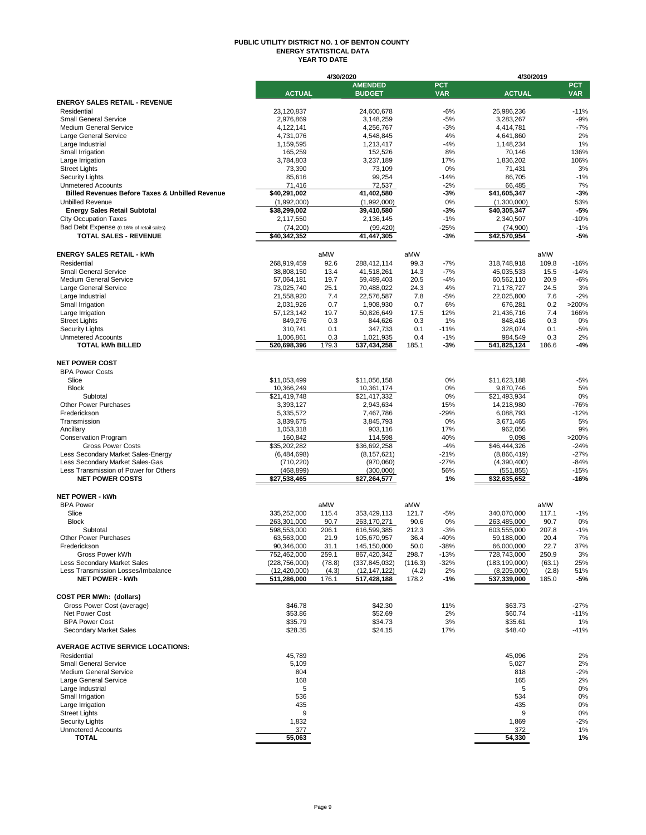## **PUBLIC UTILITY DISTRICT NO. 1 OF BENTON COUNTY ENERGY STATISTICAL DATA YEAR TO DATE**

|                                                                 |                      | 4/30/2020    |                      |         |             | 4/30/2019              |              |            |
|-----------------------------------------------------------------|----------------------|--------------|----------------------|---------|-------------|------------------------|--------------|------------|
|                                                                 |                      |              | <b>AMENDED</b>       |         | <b>PCT</b>  |                        |              | <b>PCT</b> |
|                                                                 | <b>ACTUAL</b>        |              | <b>BUDGET</b>        |         | <b>VAR</b>  | <b>ACTUAL</b>          |              | <b>VAR</b> |
| <b>ENERGY SALES RETAIL - REVENUE</b>                            |                      |              |                      |         |             |                        |              |            |
| Residential                                                     | 23,120,837           |              | 24,600,678           |         | $-6%$       | 25,986,236             |              | $-11%$     |
| <b>Small General Service</b>                                    | 2,976,869            |              | 3,148,259            |         | $-5%$       | 3,283,267              |              | $-9%$      |
| <b>Medium General Service</b>                                   | 4,122,141            |              | 4,256,767            |         | $-3%$       | 4,414,781              |              | $-7%$      |
| Large General Service                                           | 4,731,076            |              | 4,548,845            |         | 4%          | 4,641,860              |              | 2%         |
| Large Industrial                                                | 1,159,595            |              | 1.213.417            |         | $-4%$<br>8% | 1,148,234<br>70,146    |              | 1%<br>136% |
| Small Irrigation<br>Large Irrigation                            | 165,259<br>3,784,803 |              | 152,526<br>3,237,189 |         | 17%         | 1,836,202              |              | 106%       |
| <b>Street Lights</b>                                            | 73,390               |              | 73,109               |         | 0%          | 71,431                 |              | 3%         |
| <b>Security Lights</b>                                          | 85,616               |              | 99,254               |         | $-14%$      | 86,705                 |              | $-1%$      |
| <b>Unmetered Accounts</b>                                       | 71,416               |              | 72,537               |         | $-2%$       | 66,485                 |              | 7%         |
| <b>Billed Revenues Before Taxes &amp; Unbilled Revenue</b>      | \$40,291,002         |              | 41,402,580           |         | $-3%$       | \$41,605,347           |              | $-3%$      |
| <b>Unbilled Revenue</b>                                         | (1,992,000)          |              | (1,992,000)          |         | 0%          | (1,300,000)            |              | 53%        |
| <b>Energy Sales Retail Subtotal</b>                             | \$38,299,002         |              | 39,410,580           |         | $-3%$       | \$40,305,347           |              | $-5%$      |
| <b>City Occupation Taxes</b>                                    | 2,117,550            |              | 2,136,145            |         | $-1%$       | 2,340,507              |              | $-10%$     |
| Bad Debt Expense (0.16% of retail sales)                        | (74, 200)            |              | (99, 420)            |         | $-25%$      | (74,900)               |              | $-1%$      |
| <b>TOTAL SALES - REVENUE</b>                                    | \$40,342,352         |              | 41,447,305           |         | $-3%$       | \$42,570,954           |              | -5%        |
|                                                                 |                      |              |                      |         |             |                        |              |            |
|                                                                 |                      |              |                      |         |             |                        |              |            |
| <b>ENERGY SALES RETAIL - kWh</b>                                |                      | aMW          |                      | aMW     |             |                        | aMW          |            |
| Residential                                                     | 268,919,459          | 92.6         | 288,412,114          | 99.3    | $-7%$       | 318,748,918            | 109.8        | $-16%$     |
| <b>Small General Service</b>                                    | 38,808,150           | 13.4         | 41,518,261           | 14.3    | $-7%$       | 45,035,533             | 15.5         | $-14%$     |
| <b>Medium General Service</b>                                   | 57,064,181           | 19.7         | 59,489,403           | 20.5    | $-4%$       | 60,562,110             | 20.9         | $-6%$      |
| Large General Service                                           | 73,025,740           | 25.1         | 70,488,022           | 24.3    | 4%          | 71,178,727             | 24.5         | 3%         |
| Large Industrial                                                | 21,558,920           | 7.4          | 22.576.587           | 7.8     | $-5%$       | 22,025,800             | 7.6          | $-2%$      |
| Small Irrigation                                                | 2,031,926            | 0.7          | 1,908,930            | 0.7     | 6%          | 676,281                | 0.2          | >200%      |
| Large Irrigation                                                | 57, 123, 142         | 19.7         | 50,826,649           | 17.5    | 12%         | 21,436,716             | 7.4          | 166%       |
| <b>Street Lights</b>                                            | 849,276              | 0.3          | 844,626              | 0.3     | 1%          | 848,416                | 0.3          | 0%         |
| <b>Security Lights</b>                                          | 310,741              | 0.1          | 347,733              | 0.1     | $-11%$      | 328,074                | 0.1          | $-5%$      |
| <b>Unmetered Accounts</b>                                       | 1,006,861            | 0.3<br>179.3 | 1,021,935            | 0.4     | $-1%$       | 984,549<br>541,825,124 | 0.3<br>186.6 | 2%         |
| <b>TOTAL kWh BILLED</b>                                         | 520,698,396          |              | 537,434,258          | 185.1   | $-3%$       |                        |              | $-4%$      |
| <b>NET POWER COST</b>                                           |                      |              |                      |         |             |                        |              |            |
| <b>BPA Power Costs</b>                                          |                      |              |                      |         |             |                        |              |            |
| Slice                                                           | \$11,053,499         |              | \$11,056,158         |         | 0%          | \$11,623,188           |              | $-5%$      |
| <b>Block</b>                                                    |                      |              |                      |         |             |                        |              | 5%         |
| Subtotal                                                        | 10,366,249           |              | 10,361,174           |         | 0%          | 9,870,746              |              | 0%         |
| <b>Other Power Purchases</b>                                    | \$21,419,748         |              | \$21,417,332         |         | 0%<br>15%   | \$21,493,934           |              | $-76%$     |
|                                                                 | 3,393,127            |              | 2,943,634            |         |             | 14,218,980             |              |            |
| Frederickson                                                    | 5,335,572            |              | 7,467,786            |         | $-29%$      | 6,088,793              |              | $-12%$     |
| Transmission                                                    | 3,839,675            |              | 3,845,793            |         | 0%          | 3,671,465              |              | 5%<br>9%   |
| Ancillary                                                       | 1,053,318            |              | 903,116              |         | 17%         | 962,056                |              |            |
| <b>Conservation Program</b>                                     | 160,842              |              | 114,598              |         | 40%         | 9,098                  |              | >200%      |
| <b>Gross Power Costs</b>                                        | \$35,202,282         |              | \$36,692,258         |         | $-4%$       | \$46,444,326           |              | $-24%$     |
| Less Secondary Market Sales-Energy                              | (6,484,698)          |              | (8, 157, 621)        |         | $-21%$      | (8,866,419)            |              | $-27%$     |
| Less Secondary Market Sales-Gas                                 | (710, 220)           |              | (970,060)            |         | $-27%$      | (4,390,400)            |              | $-84%$     |
| Less Transmission of Power for Others<br><b>NET POWER COSTS</b> | (468, 899)           |              | (300,000)            |         | 56%         | (551, 855)             |              | $-15%$     |
|                                                                 | \$27,538,465         |              | \$27,264,577         |         | 1%          | \$32,635,652           |              | $-16%$     |
| <b>NET POWER - kWh</b>                                          |                      |              |                      |         |             |                        |              |            |
| <b>BPA Power</b>                                                |                      | aMW          |                      | aMW     |             |                        | aMW          |            |
| Slice                                                           | 335,252,000          | 115.4        | 353,429,113          | 121.7   | $-5%$       | 340,070,000            | 117.1        | $-1%$      |
| <b>Block</b>                                                    | 263,301,000          | 90.7         | 263, 170, 271        | 90.6    | 0%          | 263,485,000            | 90.7         | 0%         |
| Subtotal                                                        | 598,553,000          | 206.1        | 616,599,385          | 212.3   | $-3%$       | 603,555,000            | 207.8        | $-1%$      |
| <b>Other Power Purchases</b>                                    | 63,563,000           | 21.9         | 105,670,957          | 36.4    | $-40%$      | 59,188,000             | 20.4         | 7%         |
| Frederickson                                                    | 90.346.000           | 31.1         | 145.150.000          | 50.0    | -38%        | 66.000.000             | 22.7         | 37%        |
| Gross Power kWh                                                 | 752,462,000          | 259.1        | 867,420,342          | 298.7   | $-13%$      | 728,743,000            | 250.9        | 3%         |
| Less Secondary Market Sales                                     | (228, 756, 000)      | (78.8)       | (337, 845, 032)      | (116.3) | $-32%$      | (183, 199, 000)        | (63.1)       | 25%        |
| Less Transmission Losses/Imbalance                              | (12, 420, 000)       | (4.3)        | (12, 147, 122)       | (4.2)   | 2%          | (8,205,000)            | (2.8)        | 51%        |
| <b>NET POWER - kWh</b>                                          | 511,286,000          | 176.1        | 517,428,188          | 178.2   | -1%         | 537,339,000            | 185.0        | -5%        |
|                                                                 |                      |              |                      |         |             |                        |              |            |
| <b>COST PER MWh: (dollars)</b>                                  |                      |              |                      |         |             |                        |              |            |
| Gross Power Cost (average)                                      | \$46.78              |              | \$42.30              |         | 11%         | \$63.73                |              | $-27%$     |
| Net Power Cost                                                  | \$53.86              |              | \$52.69              |         | 2%          | \$60.74                |              | $-11%$     |
| <b>BPA Power Cost</b>                                           | \$35.79              |              | \$34.73              |         | 3%          | \$35.61                |              | 1%         |
| Secondary Market Sales                                          | \$28.35              |              | \$24.15              |         | 17%         | \$48.40                |              | $-41%$     |
|                                                                 |                      |              |                      |         |             |                        |              |            |
| <b>AVERAGE ACTIVE SERVICE LOCATIONS:</b>                        |                      |              |                      |         |             |                        |              |            |
| Residential                                                     | 45,789               |              |                      |         |             | 45,096                 |              | 2%         |
| <b>Small General Service</b>                                    | 5,109                |              |                      |         |             | 5,027                  |              | 2%         |
| <b>Medium General Service</b>                                   | 804                  |              |                      |         |             | 818                    |              | $-2%$      |
| Large General Service                                           | 168                  |              |                      |         |             | 165                    |              | 2%         |
| Large Industrial                                                | 5                    |              |                      |         |             | 5                      |              | 0%         |
| Small Irrigation                                                | 536                  |              |                      |         |             | 534                    |              | 0%         |
| Large Irrigation                                                | 435                  |              |                      |         |             | 435                    |              | 0%         |
| <b>Street Lights</b>                                            | 9                    |              |                      |         |             | 9                      |              | 0%         |
| <b>Security Lights</b>                                          | 1,832                |              |                      |         |             | 1,869                  |              | $-2%$      |
| <b>Unmetered Accounts</b>                                       | 377                  |              |                      |         |             | 372                    |              | 1%         |
| <b>TOTAL</b>                                                    | 55,063               |              |                      |         |             | 54,330                 |              | 1%         |
|                                                                 |                      |              |                      |         |             |                        |              |            |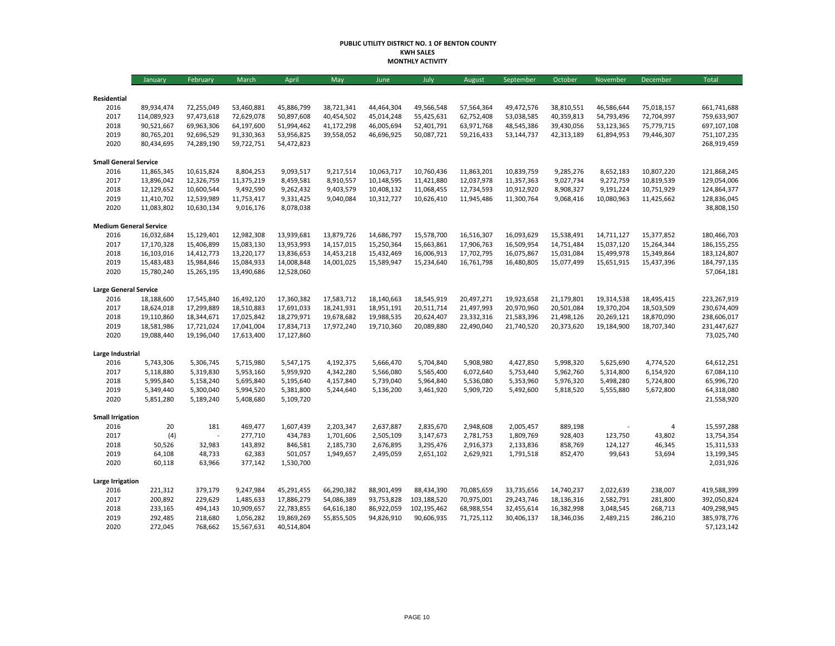## **PUBLIC UTILITY DISTRICT NO. 1 OF BENTON COUNTY KWH SALES MONTHLY ACTIVITY**

|                               | January     | February   | March      | April      | May        | June       | July        | August     | September  | October    | November   | December   | Total       |
|-------------------------------|-------------|------------|------------|------------|------------|------------|-------------|------------|------------|------------|------------|------------|-------------|
|                               |             |            |            |            |            |            |             |            |            |            |            |            |             |
| Residential<br>2016           | 89,934,474  | 72,255,049 | 53,460,881 | 45,886,799 | 38,721,341 | 44,464,304 | 49,566,548  | 57,564,364 | 49,472,576 | 38,810,551 | 46,586,644 | 75,018,157 | 661,741,688 |
| 2017                          | 114,089,923 | 97,473,618 | 72,629,078 | 50,897,608 | 40,454,502 | 45,014,248 | 55,425,631  | 62,752,408 | 53,038,585 | 40,359,813 | 54,793,496 | 72,704,997 | 759,633,907 |
| 2018                          | 90,521,667  | 69,963,306 | 64,197,600 | 51,994,462 | 41,172,298 | 46,005,694 | 52,401,791  | 63,971,768 | 48,545,386 | 39,430,056 | 53,123,365 | 75,779,715 | 697,107,108 |
| 2019                          | 80,765,201  | 92,696,529 | 91,330,363 | 53,956,825 | 39,558,052 | 46,696,925 | 50,087,721  | 59,216,433 | 53,144,737 | 42,313,189 | 61,894,953 | 79,446,307 | 751,107,235 |
| 2020                          | 80,434,695  | 74,289,190 | 59,722,751 | 54,472,823 |            |            |             |            |            |            |            |            | 268,919,459 |
| <b>Small General Service</b>  |             |            |            |            |            |            |             |            |            |            |            |            |             |
| 2016                          | 11,865,345  | 10,615,824 | 8,804,253  | 9,093,517  | 9,217,514  | 10,063,717 | 10,760,436  | 11,863,201 | 10,839,759 | 9,285,276  | 8,652,183  | 10,807,220 | 121,868,245 |
| 2017                          | 13,896,042  | 12,326,759 | 11,375,219 | 8,459,581  | 8,910,557  | 10,148,595 | 11,421,880  | 12,037,978 | 11,357,363 | 9,027,734  | 9,272,759  | 10,819,539 | 129,054,006 |
| 2018                          | 12,129,652  | 10,600,544 | 9,492,590  | 9,262,432  | 9,403,579  | 10,408,132 | 11,068,455  | 12,734,593 | 10,912,920 | 8,908,327  | 9,191,224  | 10,751,929 | 124,864,377 |
| 2019                          | 11,410,702  | 12,539,989 | 11,753,417 | 9,331,425  | 9,040,084  | 10,312,727 | 10,626,410  | 11,945,486 | 11,300,764 | 9,068,416  | 10,080,963 | 11,425,662 | 128,836,045 |
| 2020                          | 11,083,802  | 10,630,134 | 9,016,176  | 8,078,038  |            |            |             |            |            |            |            |            | 38,808,150  |
| <b>Medium General Service</b> |             |            |            |            |            |            |             |            |            |            |            |            |             |
| 2016                          | 16,032,684  | 15,129,401 | 12,982,308 | 13,939,681 | 13,879,726 | 14,686,797 | 15,578,700  | 16,516,307 | 16,093,629 | 15,538,491 | 14,711,127 | 15,377,852 | 180,466,703 |
| 2017                          | 17,170,328  | 15,406,899 | 15,083,130 | 13,953,993 | 14,157,015 | 15,250,364 | 15,663,861  | 17,906,763 | 16,509,954 | 14,751,484 | 15,037,120 | 15,264,344 | 186,155,255 |
| 2018                          | 16,103,016  | 14,412,773 | 13,220,177 | 13,836,653 | 14,453,218 | 15,432,469 | 16,006,913  | 17,702,795 | 16,075,867 | 15,031,084 | 15,499,978 | 15,349,864 | 183,124,807 |
| 2019                          | 15,483,483  | 15,984,846 | 15,084,933 | 14,008,848 | 14,001,025 | 15,589,947 | 15,234,640  | 16,761,798 | 16,480,805 | 15,077,499 | 15,651,915 | 15,437,396 | 184,797,135 |
| 2020                          | 15,780,240  | 15,265,195 | 13,490,686 | 12,528,060 |            |            |             |            |            |            |            |            | 57,064,181  |
| <b>Large General Service</b>  |             |            |            |            |            |            |             |            |            |            |            |            |             |
| 2016                          | 18,188,600  | 17,545,840 | 16,492,120 | 17,360,382 | 17,583,712 | 18,140,663 | 18,545,919  | 20,497,271 | 19,923,658 | 21,179,801 | 19,314,538 | 18,495,415 | 223,267,919 |
| 2017                          | 18,624,018  | 17,299,889 | 18,510,883 | 17,691,033 | 18,241,931 | 18,951,191 | 20,511,714  | 21,497,993 | 20,970,960 | 20,501,084 | 19,370,204 | 18,503,509 | 230,674,409 |
| 2018                          | 19,110,860  | 18,344,671 | 17,025,842 | 18,279,971 | 19,678,682 | 19,988,535 | 20,624,407  | 23,332,316 | 21,583,396 | 21,498,126 | 20,269,121 | 18,870,090 | 238,606,017 |
| 2019                          | 18,581,986  | 17,721,024 | 17,041,004 | 17,834,713 | 17,972,240 | 19,710,360 | 20,089,880  | 22,490,040 | 21,740,520 | 20,373,620 | 19,184,900 | 18,707,340 | 231,447,627 |
| 2020                          | 19,088,440  | 19,196,040 | 17,613,400 | 17,127,860 |            |            |             |            |            |            |            |            | 73,025,740  |
| Large Industrial              |             |            |            |            |            |            |             |            |            |            |            |            |             |
| 2016                          | 5,743,306   | 5,306,745  | 5,715,980  | 5,547,175  | 4,192,375  | 5,666,470  | 5,704,840   | 5,908,980  | 4,427,850  | 5,998,320  | 5,625,690  | 4,774,520  | 64,612,251  |
| 2017                          | 5,118,880   | 5,319,830  | 5,953,160  | 5,959,920  | 4,342,280  | 5,566,080  | 5,565,400   | 6,072,640  | 5,753,440  | 5,962,760  | 5,314,800  | 6,154,920  | 67,084,110  |
| 2018                          | 5,995,840   | 5,158,240  | 5,695,840  | 5,195,640  | 4,157,840  | 5,739,040  | 5,964,840   | 5,536,080  | 5,353,960  | 5,976,320  | 5,498,280  | 5,724,800  | 65,996,720  |
| 2019                          | 5,349,440   | 5,300,040  | 5,994,520  | 5,381,800  | 5,244,640  | 5,136,200  | 3,461,920   | 5,909,720  | 5,492,600  | 5,818,520  | 5,555,880  | 5,672,800  | 64,318,080  |
| 2020                          | 5,851,280   | 5,189,240  | 5,408,680  | 5,109,720  |            |            |             |            |            |            |            |            | 21,558,920  |
| <b>Small Irrigation</b>       |             |            |            |            |            |            |             |            |            |            |            |            |             |
| 2016                          | 20          | 181        | 469,477    | 1,607,439  | 2,203,347  | 2,637,887  | 2,835,670   | 2,948,608  | 2,005,457  | 889,198    |            | 4          | 15,597,288  |
| 2017                          | (4)         |            | 277,710    | 434,783    | 1,701,606  | 2,505,109  | 3,147,673   | 2,781,753  | 1,809,769  | 928,403    | 123,750    | 43,802     | 13,754,354  |
| 2018                          | 50,526      | 32,983     | 143,892    | 846,581    | 2,185,730  | 2,676,895  | 3,295,476   | 2,916,373  | 2,133,836  | 858,769    | 124,127    | 46,345     | 15,311,533  |
| 2019                          | 64,108      | 48,733     | 62,383     | 501,057    | 1,949,657  | 2,495,059  | 2,651,102   | 2,629,921  | 1,791,518  | 852,470    | 99,643     | 53,694     | 13,199,345  |
| 2020                          | 60,118      | 63,966     | 377,142    | 1,530,700  |            |            |             |            |            |            |            |            | 2,031,926   |
| Large Irrigation              |             |            |            |            |            |            |             |            |            |            |            |            |             |
| 2016                          | 221,312     | 379,179    | 9,247,984  | 45,291,455 | 66,290,382 | 88,901,499 | 88,434,390  | 70,085,659 | 33,735,656 | 14,740,237 | 2,022,639  | 238,007    | 419,588,399 |
| 2017                          | 200,892     | 229,629    | 1,485,633  | 17,886,279 | 54,086,389 | 93,753,828 | 103,188,520 | 70,975,001 | 29,243,746 | 18,136,316 | 2,582,791  | 281,800    | 392,050,824 |
| 2018                          | 233,165     | 494,143    | 10,909,657 | 22,783,855 | 64,616,180 | 86,922,059 | 102,195,462 | 68,988,554 | 32,455,614 | 16,382,998 | 3,048,545  | 268,713    | 409,298,945 |
| 2019                          | 292,485     | 218,680    | 1,056,282  | 19,869,269 | 55,855,505 | 94,826,910 | 90,606,935  | 71,725,112 | 30,406,137 | 18,346,036 | 2,489,215  | 286,210    | 385,978,776 |
| 2020                          | 272,045     | 768,662    | 15,567,631 | 40,514,804 |            |            |             |            |            |            |            |            | 57,123,142  |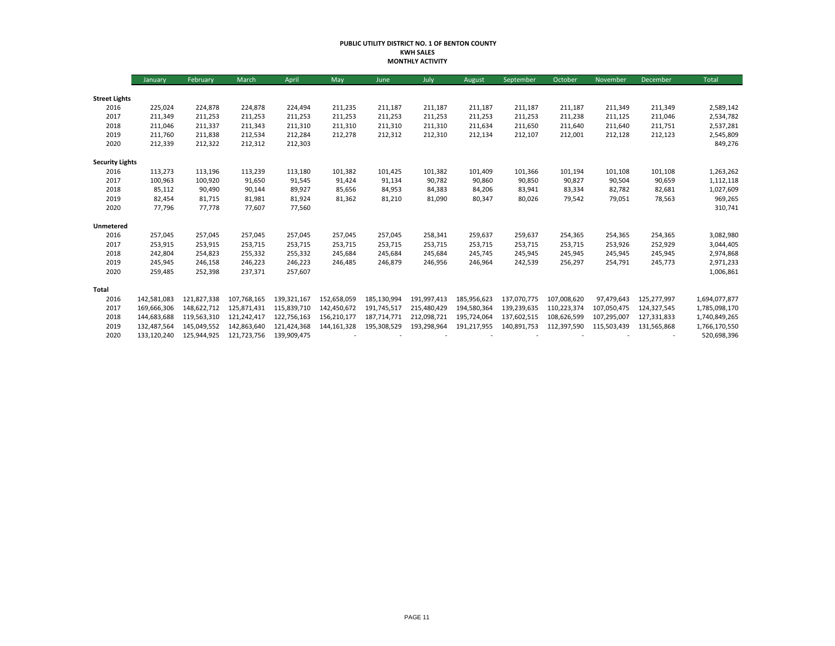## **PUBLIC UTILITY DISTRICT NO. 1 OF BENTON COUNTY KWH SALES MONTHLY ACTIVITY**

|                        | January     | February    | March       | April       | May           | June        | July        | August      | September   | October     | November    | December    | Total         |
|------------------------|-------------|-------------|-------------|-------------|---------------|-------------|-------------|-------------|-------------|-------------|-------------|-------------|---------------|
|                        |             |             |             |             |               |             |             |             |             |             |             |             |               |
| <b>Street Lights</b>   |             |             |             |             |               |             |             |             |             |             |             |             |               |
| 2016                   | 225,024     | 224,878     | 224,878     | 224,494     | 211,235       | 211,187     | 211,187     | 211,187     | 211,187     | 211,187     | 211,349     | 211,349     | 2,589,142     |
| 2017                   | 211,349     | 211,253     | 211,253     | 211,253     | 211,253       | 211,253     | 211,253     | 211,253     | 211,253     | 211,238     | 211,125     | 211,046     | 2,534,782     |
| 2018                   | 211,046     | 211,337     | 211,343     | 211,310     | 211,310       | 211,310     | 211,310     | 211,634     | 211,650     | 211,640     | 211,640     | 211,751     | 2,537,281     |
| 2019                   | 211,760     | 211,838     | 212,534     | 212,284     | 212,278       | 212,312     | 212,310     | 212,134     | 212,107     | 212,001     | 212,128     | 212,123     | 2,545,809     |
| 2020                   | 212,339     | 212,322     | 212,312     | 212,303     |               |             |             |             |             |             |             |             | 849,276       |
| <b>Security Lights</b> |             |             |             |             |               |             |             |             |             |             |             |             |               |
| 2016                   | 113,273     | 113,196     | 113,239     | 113,180     | 101,382       | 101,425     | 101,382     | 101,409     | 101,366     | 101,194     | 101,108     | 101,108     | 1,263,262     |
| 2017                   | 100,963     | 100,920     | 91,650      | 91,545      | 91,424        | 91,134      | 90,782      | 90,860      | 90,850      | 90,827      | 90,504      | 90,659      | 1,112,118     |
| 2018                   | 85,112      | 90,490      | 90,144      | 89,927      | 85,656        | 84,953      | 84,383      | 84,206      | 83,941      | 83,334      | 82,782      | 82,681      | 1,027,609     |
| 2019                   | 82,454      | 81,715      | 81,981      | 81,924      | 81,362        | 81,210      | 81,090      | 80,347      | 80,026      | 79,542      | 79,051      | 78,563      | 969,265       |
| 2020                   | 77,796      | 77,778      | 77,607      | 77,560      |               |             |             |             |             |             |             |             | 310,741       |
| Unmetered              |             |             |             |             |               |             |             |             |             |             |             |             |               |
| 2016                   | 257,045     | 257,045     | 257,045     | 257,045     | 257,045       | 257,045     | 258,341     | 259,637     | 259,637     | 254,365     | 254,365     | 254,365     | 3,082,980     |
| 2017                   | 253,915     | 253,915     | 253,715     | 253,715     | 253,715       | 253,715     | 253,715     | 253,715     | 253,715     | 253,715     | 253,926     | 252,929     | 3,044,405     |
| 2018                   | 242,804     | 254,823     | 255,332     | 255,332     | 245,684       | 245,684     | 245,684     | 245,745     | 245,945     | 245,945     | 245,945     | 245,945     | 2,974,868     |
| 2019                   | 245,945     | 246,158     | 246,223     | 246,223     | 246,485       | 246,879     | 246,956     | 246,964     | 242,539     | 256,297     | 254,791     | 245,773     | 2,971,233     |
| 2020                   | 259,485     | 252,398     | 237,371     | 257,607     |               |             |             |             |             |             |             |             | 1,006,861     |
| Total                  |             |             |             |             |               |             |             |             |             |             |             |             |               |
| 2016                   | 142,581,083 | 121,827,338 | 107,768,165 | 139,321,167 | 152,658,059   | 185,130,994 | 191,997,413 | 185,956,623 | 137,070,775 | 107,008,620 | 97,479,643  | 125,277,997 | 1,694,077,877 |
| 2017                   | 169,666,306 | 148,622,712 | 125,871,431 | 115,839,710 | 142,450,672   | 191,745,517 | 215,480,429 | 194,580,364 | 139,239,635 | 110,223,374 | 107.050.475 | 124,327,545 | 1,785,098,170 |
| 2018                   | 144,683,688 | 119,563,310 | 121,242,417 | 122,756,163 | 156,210,177   | 187,714,771 | 212,098,721 | 195,724,064 | 137,602,515 | 108,626,599 | 107,295,007 | 127,331,833 | 1,740,849,265 |
| 2019                   | 132,487,564 | 145,049,552 | 142,863,640 | 121,424,368 | 144, 161, 328 | 195,308,529 | 193,298,964 | 191,217,955 | 140,891,753 | 112,397,590 | 115,503,439 | 131,565,868 | 1,766,170,550 |
| 2020                   | 133,120,240 | 125,944,925 | 121,723,756 | 139,909,475 |               |             |             |             |             |             |             |             | 520,698,396   |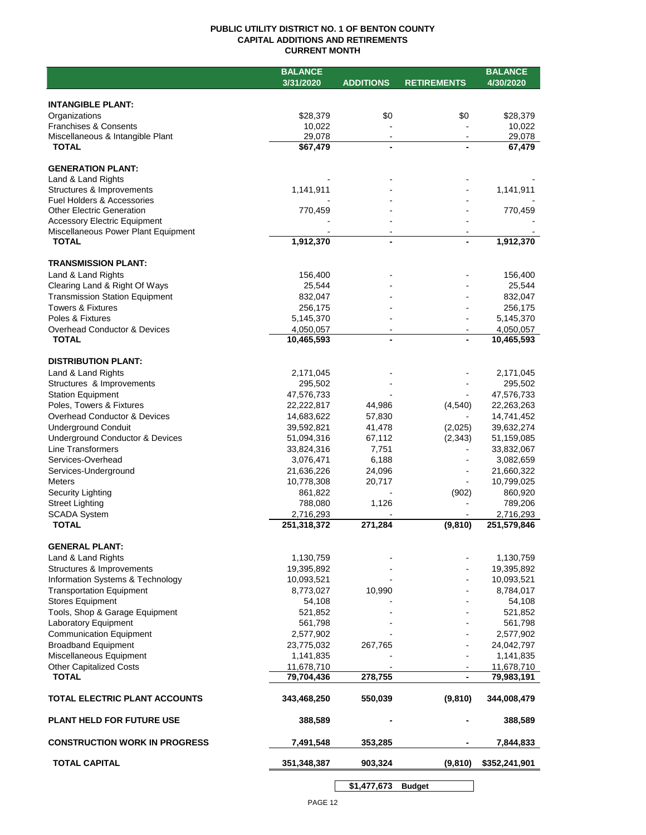## **PUBLIC UTILITY DISTRICT NO. 1 OF BENTON COUNTY CAPITAL ADDITIONS AND RETIREMENTS CURRENT MONTH**

|                                         | <b>BALANCE</b> |                  |                    | <b>BALANCE</b> |
|-----------------------------------------|----------------|------------------|--------------------|----------------|
|                                         | 3/31/2020      | <b>ADDITIONS</b> | <b>RETIREMENTS</b> | 4/30/2020      |
|                                         |                |                  |                    |                |
| <b>INTANGIBLE PLANT:</b>                |                |                  |                    |                |
| Organizations                           | \$28,379       | \$0              | \$0                | \$28,379       |
| Franchises & Consents                   | 10,022         |                  |                    | 10,022         |
| Miscellaneous & Intangible Plant        | 29,078         | $\sim$           |                    | 29,078         |
| <b>TOTAL</b>                            | \$67,479       | $\blacksquare$   |                    | 67,479         |
|                                         |                |                  |                    |                |
| <b>GENERATION PLANT:</b>                |                |                  |                    |                |
| Land & Land Rights                      |                |                  |                    |                |
| Structures & Improvements               | 1,141,911      |                  |                    | 1,141,911      |
| Fuel Holders & Accessories              |                |                  |                    |                |
| <b>Other Electric Generation</b>        | 770,459        |                  |                    | 770,459        |
| <b>Accessory Electric Equipment</b>     |                |                  |                    |                |
| Miscellaneous Power Plant Equipment     |                |                  |                    |                |
| <b>TOTAL</b>                            | 1,912,370      | $\blacksquare$   |                    | 1,912,370      |
|                                         |                |                  |                    |                |
| <b>TRANSMISSION PLANT:</b>              |                |                  |                    |                |
| Land & Land Rights                      | 156,400        |                  |                    | 156,400        |
| Clearing Land & Right Of Ways           | 25,544         |                  |                    | 25,544         |
| <b>Transmission Station Equipment</b>   | 832,047        |                  |                    | 832,047        |
| Towers & Fixtures                       | 256,175        |                  |                    | 256,175        |
| Poles & Fixtures                        | 5,145,370      |                  |                    | 5,145,370      |
| <b>Overhead Conductor &amp; Devices</b> | 4,050,057      |                  |                    | 4,050,057      |
| <b>TOTAL</b>                            | 10,465,593     |                  |                    | 10,465,593     |
|                                         |                |                  |                    |                |
| <b>DISTRIBUTION PLANT:</b>              |                |                  |                    |                |
| Land & Land Rights                      | 2,171,045      |                  |                    | 2,171,045      |
| Structures & Improvements               | 295,502        |                  |                    | 295,502        |
| <b>Station Equipment</b>                | 47,576,733     |                  |                    |                |
| Poles, Towers & Fixtures                | 22,222,817     | 44,986           |                    | 47,576,733     |
| Overhead Conductor & Devices            |                |                  | (4, 540)           | 22,263,263     |
|                                         | 14,683,622     | 57,830           |                    | 14,741,452     |
| <b>Underground Conduit</b>              | 39,592,821     | 41,478           | (2,025)            | 39,632,274     |
| Underground Conductor & Devices         | 51,094,316     | 67,112           | (2, 343)           | 51,159,085     |
| <b>Line Transformers</b>                | 33,824,316     | 7,751            |                    | 33,832,067     |
| Services-Overhead                       | 3,076,471      | 6,188            |                    | 3,082,659      |
| Services-Underground                    | 21,636,226     | 24,096           |                    | 21,660,322     |
| <b>Meters</b>                           | 10,778,308     | 20,717           |                    | 10,799,025     |
| Security Lighting                       | 861,822        |                  | (902)              | 860,920        |
| <b>Street Lighting</b>                  | 788,080        | 1,126            |                    | 789,206        |
| <b>SCADA System</b>                     | 2,716,293      |                  |                    | 2,716,293      |
| <b>TOTAL</b>                            | 251,318,372    | 271,284          | (9,810)            | 251,579,846    |
|                                         |                |                  |                    |                |
| <b>GENERAL PLANT:</b>                   |                |                  |                    |                |
| Land & Land Rights                      | 1,130,759      |                  |                    | 1,130,759      |
| Structures & Improvements               | 19,395,892     |                  |                    | 19,395,892     |
| Information Systems & Technology        | 10,093,521     |                  |                    | 10,093,521     |
| <b>Transportation Equipment</b>         | 8,773,027      | 10,990           |                    | 8,784,017      |
| <b>Stores Equipment</b>                 | 54,108         |                  |                    | 54,108         |
| Tools, Shop & Garage Equipment          | 521,852        |                  |                    | 521,852        |
| Laboratory Equipment                    | 561,798        |                  |                    | 561,798        |
| <b>Communication Equipment</b>          | 2,577,902      |                  |                    | 2,577,902      |
| <b>Broadband Equipment</b>              | 23,775,032     | 267,765          |                    | 24,042,797     |
| Miscellaneous Equipment                 | 1,141,835      |                  |                    | 1,141,835      |
| <b>Other Capitalized Costs</b>          | 11,678,710     |                  |                    | 11,678,710     |
| <b>TOTAL</b>                            | 79,704,436     | 278,755          |                    | 79,983,191     |
|                                         |                |                  |                    |                |
| TOTAL ELECTRIC PLANT ACCOUNTS           | 343,468,250    |                  |                    |                |
|                                         |                | 550,039          | (9,810)            | 344,008,479    |
|                                         |                |                  |                    |                |
| <b>PLANT HELD FOR FUTURE USE</b>        | 388,589        |                  |                    | 388,589        |
|                                         |                |                  |                    |                |
| <b>CONSTRUCTION WORK IN PROGRESS</b>    | 7,491,548      | 353,285          |                    | 7,844,833      |
| <b>TOTAL CAPITAL</b>                    | 351,348,387    | 903,324          | (9, 810)           | \$352,241,901  |
|                                         |                |                  |                    |                |
|                                         |                |                  |                    |                |

**\$1,477,673 Budget**

 $\sim$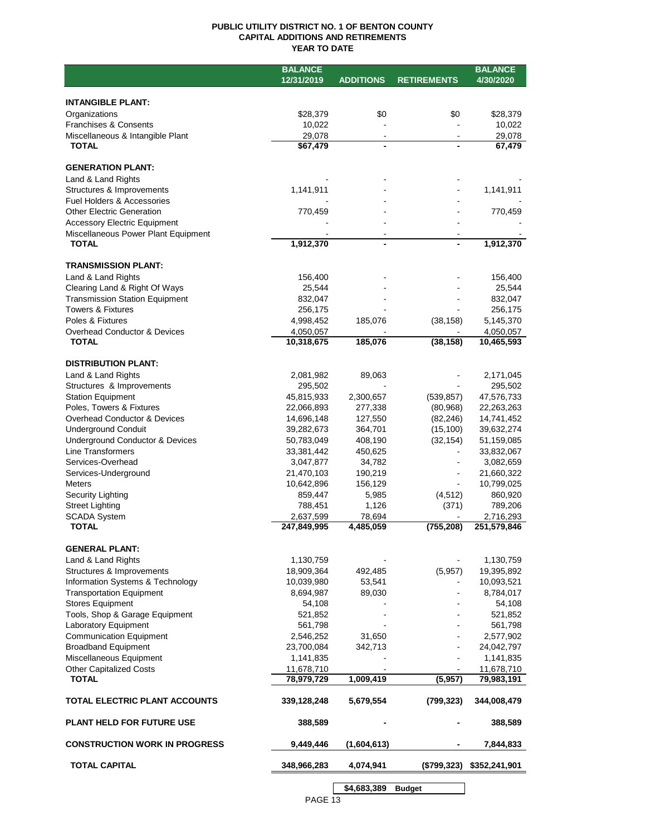## **PUBLIC UTILITY DISTRICT NO. 1 OF BENTON COUNTY CAPITAL ADDITIONS AND RETIREMENTS YEAR TO DATE**

|                                                        | <b>BALANCE</b>           |                  |                    | <b>BALANCE</b> |
|--------------------------------------------------------|--------------------------|------------------|--------------------|----------------|
|                                                        | 12/31/2019               | <b>ADDITIONS</b> | <b>RETIREMENTS</b> | 4/30/2020      |
|                                                        |                          |                  |                    |                |
| <b>INTANGIBLE PLANT:</b>                               |                          |                  |                    |                |
| Organizations                                          | \$28,379                 | \$0              | \$0                | \$28,379       |
| Franchises & Consents                                  | 10,022                   |                  |                    | 10,022         |
| Miscellaneous & Intangible Plant                       | 29,078                   |                  |                    | 29,078         |
| <b>TOTAL</b>                                           | \$67,479                 |                  |                    | 67,479         |
|                                                        |                          |                  |                    |                |
| <b>GENERATION PLANT:</b>                               |                          |                  |                    |                |
| Land & Land Rights                                     |                          |                  |                    |                |
| Structures & Improvements                              | 1,141,911                |                  |                    | 1,141,911      |
| Fuel Holders & Accessories                             |                          |                  |                    |                |
| <b>Other Electric Generation</b>                       | 770,459                  |                  |                    | 770,459        |
| <b>Accessory Electric Equipment</b>                    |                          |                  |                    |                |
| Miscellaneous Power Plant Equipment                    |                          |                  |                    |                |
| <b>TOTAL</b>                                           | 1,912,370                |                  |                    | 1,912,370      |
|                                                        |                          |                  |                    |                |
| <b>TRANSMISSION PLANT:</b>                             |                          |                  |                    |                |
| Land & Land Rights                                     | 156,400                  |                  |                    | 156,400        |
| Clearing Land & Right Of Ways                          | 25,544                   |                  |                    | 25,544         |
| <b>Transmission Station Equipment</b>                  | 832,047                  |                  |                    | 832,047        |
| <b>Towers &amp; Fixtures</b>                           | 256,175                  |                  |                    | 256,175        |
| Poles & Fixtures                                       | 4,998,452                | 185,076          | (38, 158)          | 5,145,370      |
| <b>Overhead Conductor &amp; Devices</b>                | 4,050,057                |                  |                    | 4,050,057      |
| <b>TOTAL</b>                                           | 10,318,675               | 185,076          | (38, 158)          | 10,465,593     |
|                                                        |                          |                  |                    |                |
| <b>DISTRIBUTION PLANT:</b>                             |                          |                  |                    |                |
| Land & Land Rights                                     | 2,081,982                | 89,063           |                    | 2,171,045      |
| Structures & Improvements                              | 295,502                  |                  |                    | 295,502        |
| <b>Station Equipment</b>                               | 45,815,933               | 2,300,657        | (539, 857)         | 47,576,733     |
| Poles, Towers & Fixtures                               | 22,066,893               | 277,338          | (80, 968)          | 22,263,263     |
| Overhead Conductor & Devices                           | 14,696,148               | 127,550          | (82, 246)          | 14,741,452     |
| <b>Underground Conduit</b>                             | 39,282,673               | 364,701          | (15, 100)          | 39,632,274     |
| Underground Conductor & Devices                        | 50,783,049               | 408,190          | (32, 154)          | 51,159,085     |
| Line Transformers                                      | 33,381,442               | 450,625          |                    | 33,832,067     |
| Services-Overhead                                      | 3,047,877                | 34,782           |                    | 3,082,659      |
| Services-Underground                                   | 21,470,103               | 190,219          | $\blacksquare$     | 21,660,322     |
| <b>Meters</b>                                          | 10,642,896               | 156,129          |                    | 10,799,025     |
| Security Lighting                                      | 859,447                  | 5,985            | (4, 512)           | 860,920        |
| <b>Street Lighting</b>                                 | 788,451                  | 1,126            | (371)              | 789,206        |
| <b>SCADA System</b><br><b>TOTAL</b>                    | 2,637,599<br>247,849,995 | 78,694           |                    | 2,716,293      |
|                                                        |                          | 4,485,059        | (755, 208)         | 251,579,846    |
| <b>GENERAL PLANT:</b>                                  |                          |                  |                    |                |
|                                                        |                          |                  |                    |                |
| Land & Land Rights                                     | 1,130,759                |                  |                    | 1,130,759      |
| Structures & Improvements                              | 18,909,364               | 492,485          | (5,957)            | 19,395,892     |
| Information Systems & Technology                       | 10,039,980               | 53,541           |                    | 10,093,521     |
| <b>Transportation Equipment</b>                        | 8,694,987                | 89,030           |                    | 8,784,017      |
| <b>Stores Equipment</b>                                | 54,108                   |                  |                    | 54,108         |
| Tools, Shop & Garage Equipment<br>Laboratory Equipment | 521,852                  |                  |                    | 521,852        |
|                                                        | 561,798                  |                  |                    | 561,798        |
| <b>Communication Equipment</b>                         | 2,546,252                | 31,650           |                    | 2,577,902      |
| <b>Broadband Equipment</b>                             | 23,700,084               | 342,713          |                    | 24,042,797     |
| Miscellaneous Equipment                                | 1,141,835                |                  |                    | 1,141,835      |
| <b>Other Capitalized Costs</b><br><b>TOTAL</b>         | 11,678,710               | 1,009,419        | (5,957)            | 11,678,710     |
|                                                        | 78,979,729               |                  |                    | 79,983,191     |
| TOTAL ELECTRIC PLANT ACCOUNTS                          | 339,128,248              | 5,679,554        | (799, 323)         | 344,008,479    |
|                                                        |                          |                  |                    |                |
| <b>PLANT HELD FOR FUTURE USE</b>                       | 388,589                  |                  |                    | 388,589        |
| <b>CONSTRUCTION WORK IN PROGRESS</b>                   | 9,449,446                | (1,604,613)      |                    | 7,844,833      |
| <b>TOTAL CAPITAL</b>                                   | 348,966,283              | 4,074,941        | (\$799,323)        | \$352,241,901  |
|                                                        |                          | \$4,683,389      | <b>Budget</b>      |                |
|                                                        |                          |                  |                    |                |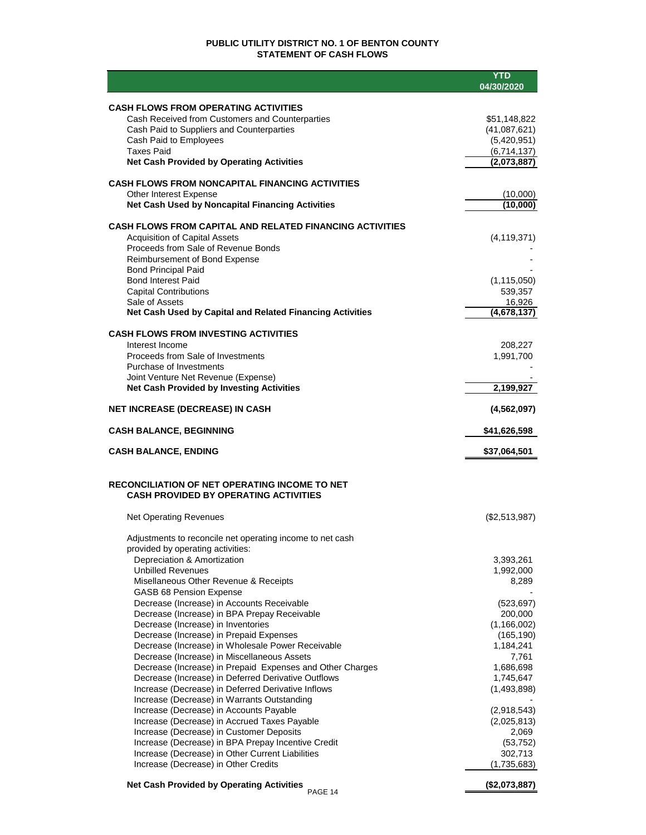## **PUBLIC UTILITY DISTRICT NO. 1 OF BENTON COUNTY STATEMENT OF CASH FLOWS**

|                                                                                                          | <b>YTD</b><br>04/30/2020    |
|----------------------------------------------------------------------------------------------------------|-----------------------------|
|                                                                                                          |                             |
| <b>CASH FLOWS FROM OPERATING ACTIVITIES</b>                                                              |                             |
| Cash Received from Customers and Counterparties                                                          | \$51,148,822                |
| Cash Paid to Suppliers and Counterparties<br>Cash Paid to Employees                                      | (41,087,621)<br>(5,420,951) |
| <b>Taxes Paid</b>                                                                                        | (6,714,137)                 |
| <b>Net Cash Provided by Operating Activities</b>                                                         | (2,073,887)                 |
| <b>CASH FLOWS FROM NONCAPITAL FINANCING ACTIVITIES</b>                                                   |                             |
| Other Interest Expense                                                                                   | (10,000)                    |
| Net Cash Used by Noncapital Financing Activities                                                         | (10,000)                    |
|                                                                                                          |                             |
| <b>CASH FLOWS FROM CAPITAL AND RELATED FINANCING ACTIVITIES</b><br><b>Acquisition of Capital Assets</b>  | (4, 119, 371)               |
| Proceeds from Sale of Revenue Bonds                                                                      |                             |
| Reimbursement of Bond Expense                                                                            |                             |
| <b>Bond Principal Paid</b>                                                                               |                             |
| <b>Bond Interest Paid</b><br><b>Capital Contributions</b>                                                | (1, 115, 050)<br>539,357    |
| Sale of Assets                                                                                           | 16,926                      |
| Net Cash Used by Capital and Related Financing Activities                                                | $\overline{(4,678,137)}$    |
| <b>CASH FLOWS FROM INVESTING ACTIVITIES</b>                                                              |                             |
| Interest Income                                                                                          | 208,227                     |
| Proceeds from Sale of Investments                                                                        | 1,991,700                   |
| Purchase of Investments                                                                                  |                             |
| Joint Venture Net Revenue (Expense)<br><b>Net Cash Provided by Investing Activities</b>                  | 2,199,927                   |
|                                                                                                          |                             |
| <b>NET INCREASE (DECREASE) IN CASH</b>                                                                   | (4,562,097)                 |
| <b>CASH BALANCE, BEGINNING</b>                                                                           | \$41,626,598                |
| <b>CASH BALANCE, ENDING</b>                                                                              | \$37,064,501                |
|                                                                                                          |                             |
| <b>RECONCILIATION OF NET OPERATING INCOME TO NET</b>                                                     |                             |
| <b>CASH PROVIDED BY OPERATING ACTIVITIES</b>                                                             |                             |
| <b>Net Operating Revenues</b>                                                                            | (\$2,513,987)               |
|                                                                                                          |                             |
| Adjustments to reconcile net operating income to net cash<br>provided by operating activities:           |                             |
| Depreciation & Amortization                                                                              | 3,393,261                   |
| <b>Unbilled Revenues</b>                                                                                 | 1,992,000                   |
| Misellaneous Other Revenue & Receipts                                                                    | 8,289                       |
| <b>GASB 68 Pension Expense</b><br>Decrease (Increase) in Accounts Receivable                             | (523, 697)                  |
| Decrease (Increase) in BPA Prepay Receivable                                                             | 200.000                     |
| Decrease (Increase) in Inventories                                                                       | (1, 166, 002)               |
| Decrease (Increase) in Prepaid Expenses                                                                  | (165, 190)                  |
| Decrease (Increase) in Wholesale Power Receivable                                                        | 1,184,241                   |
| Decrease (Increase) in Miscellaneous Assets<br>Decrease (Increase) in Prepaid Expenses and Other Charges | 7,761<br>1,686,698          |
| Decrease (Increase) in Deferred Derivative Outflows                                                      | 1,745,647                   |
| Increase (Decrease) in Deferred Derivative Inflows                                                       | (1,493,898)                 |
| Increase (Decrease) in Warrants Outstanding                                                              |                             |
| Increase (Decrease) in Accounts Payable                                                                  | (2,918,543)                 |
| Increase (Decrease) in Accrued Taxes Payable                                                             | (2,025,813)                 |
| Increase (Decrease) in Customer Deposits                                                                 | 2,069                       |
| Increase (Decrease) in BPA Prepay Incentive Credit<br>Increase (Decrease) in Other Current Liabilities   | (53, 752)<br>302,713        |
| Increase (Decrease) in Other Credits                                                                     | (1,735,683)                 |
|                                                                                                          | (40.270.02)                 |

**Net Cash Provided by Operating Activities (\$2,073,887)** PAGE 14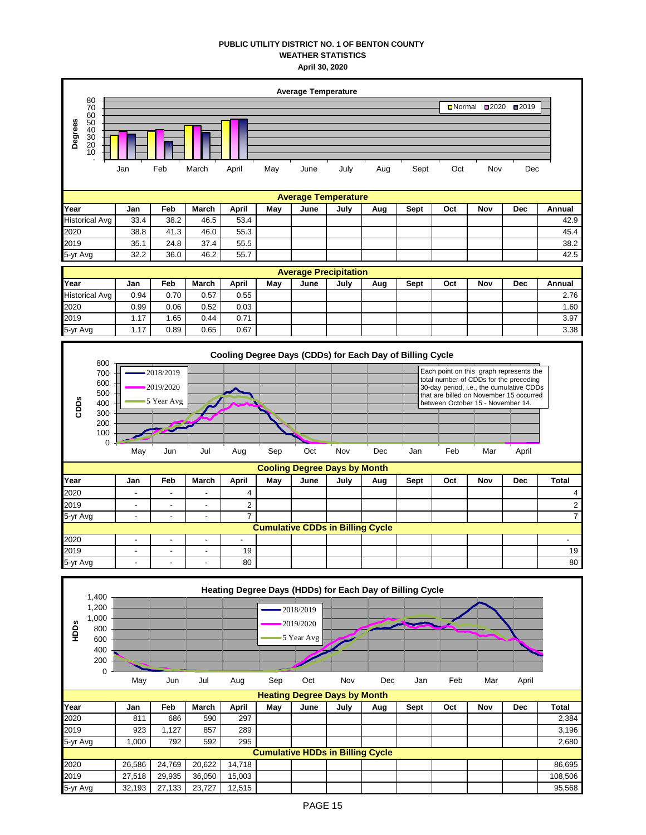## **PUBLIC UTILITY DISTRICT NO. 1 OF BENTON COUNTY WEATHER STATISTICS April 30, 2020**

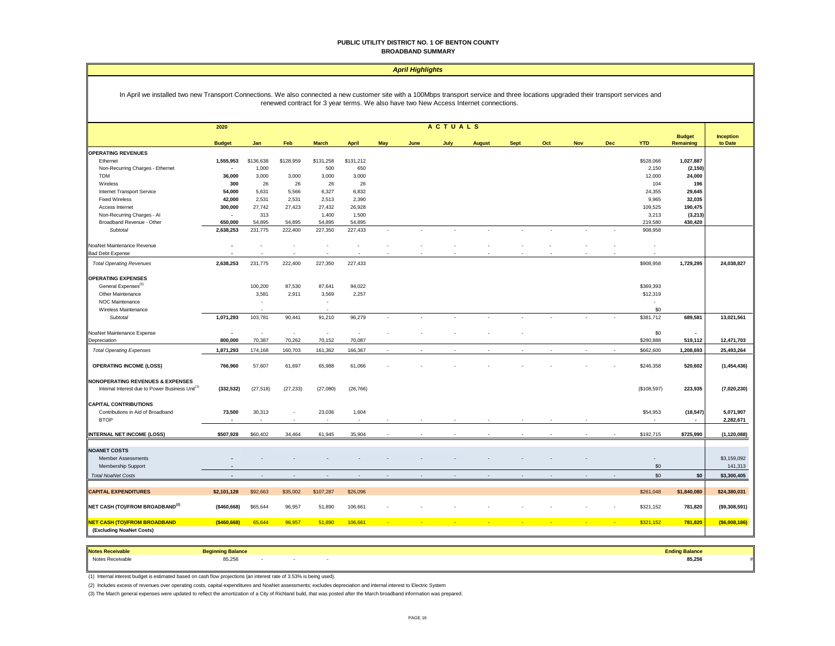## **PUBLIC UTILITY DISTRICT NO. 1 OF BENTON COUNTY BROADBAND SUMMARY**

| In April we installed two new Transport Connections. We also connected a new customer site with a 100Mbps transport service and three locations upgraded their transport services and<br>renewed contract for 3 year terms. We also have two New Access Internet connections.<br>ACTUALS<br>2020<br><b>Budget</b><br><b>Inception</b><br><b>YTD</b><br>to Date<br><b>Budget</b><br>Jan<br>Feb<br><b>March</b><br><b>April</b><br>May<br>June<br><b>Sept</b><br>Oct<br>Nov<br>Dec<br>Remaining<br>July<br><b>August</b><br><b>OPERATING REVENUES</b><br>\$131,258<br>\$131,212<br>1,027,887<br>Ethernet<br>1,555,953<br>\$136,638<br>\$128,959<br>\$528,066<br>1,000<br>500<br>2,150<br>(2, 150)<br>Non-Recurring Charges - Ethernet<br>650<br><b>TDM</b><br>36,000<br>3,000<br>3,000<br>3,000<br>3,000<br>12,000<br>24,000<br>26<br>26<br>Wireless<br>300<br>26<br>26<br>104<br>196<br>29,645<br>Internet Transport Service<br>54,000<br>5,631<br>5,566<br>6,327<br>6,832<br>24,355<br><b>Fixed Wireless</b><br>42,000<br>2,531<br>2,531<br>2,513<br>2,390<br>9,965<br>32,035<br>300,000<br>27,742<br>27,423<br>27,432<br>26,928<br>109,525<br>190,475<br>Access Internet<br>Non-Recurring Charges - Al<br>313<br>1,400<br>1,500<br>3,213<br>(3, 213)<br>650,000<br>54,895<br>54,895<br>54,895<br>54,895<br>219,580<br>430,420<br>Broadband Revenue - Other<br>231,775<br>222,400<br>227,350<br>Subtotal<br>2,638,253<br>227,433<br>908,958<br>NoaNet Maintenance Revenue<br>$\overline{\phantom{a}}$<br><b>Bad Debt Expense</b><br>2,638,253<br>231,775<br>222,400<br>227,350<br>227,433<br>\$908,958<br>1,729,295<br>24,038,827<br><b>Total Operating Revenues</b><br><b>OPERATING EXPENSES</b><br>General Expenses <sup>(3)</sup><br>100,200<br>87,530<br>87,641<br>94,022<br>\$369,393<br>3,581<br>2,911<br>3,569<br>2,257<br>\$12,319<br>Other Maintenance<br>NOC Maintenance<br>$\sim$<br>Wireless Maintenance<br>\$0<br>1,071,293<br>103,781<br>90,441<br>96,279<br>\$381,712<br>689,581<br>91,210<br>13,021,561<br>Subtotal<br>$\sim$<br>$\sim$<br>NoaNet Maintenance Expense<br>\$0<br>$\sim$<br>÷,<br>$\overline{\phantom{a}}$<br>÷,<br>$\blacksquare$<br>70,387<br>Depreciation<br>800,000<br>70,262<br>70,152<br>70,087<br>\$280,888<br>519,112<br>12,471,703<br><b>Total Operating Expenses</b><br>1,871,293<br>174,168<br>160,703<br>161,362<br>166,367<br>\$662,600<br>1,208,693<br>25,493,264<br><b>OPERATING INCOME (LOSS)</b><br>766,960<br>57,607<br>61,697<br>65,988<br>61,066<br>\$246,358<br>520,602<br>(1,454,436)<br>Internal Interest due to Power Business Unit <sup>(1)</sup><br>(332, 532)<br>(27, 518)<br>(\$108,597)<br>(7,020,230)<br>(27, 233)<br>(27,080)<br>(26, 766)<br>223,935<br>(18, 547)<br>Contributions in Aid of Broadband<br>73,500<br>30,313<br>23,036<br>1,604<br>\$54,953<br>5,071,907<br><b>BTOP</b><br>2,282,671<br><b>INTERNAL NET INCOME (LOSS)</b><br>\$192,715<br>\$507,928<br>\$60,402<br>34,464<br>61,945<br>35,904<br>\$725,990<br>(1, 120, 088)<br>\$3,159,092<br><b>Member Assessments</b><br>\$0<br>141,313<br>Membership Support<br>\$0<br><b>Total NoaNet Costs</b><br>\$0<br>\$3,300,405<br>$\overline{a}$<br>$\sim$<br>$\sim$<br><b>CAPITAL EXPENDITURES</b><br>\$2,101,128<br>\$92,663<br>\$35,002<br>\$107,287<br>\$26,096<br>\$261,048<br>\$1,840,080<br>\$24,380,031<br>NET CASH (TO)/FROM BROADBAND <sup>(2)</sup><br>(\$460,668)<br>\$65,644<br>96,957<br>51,890<br>106,661<br>\$321,152<br>781,820<br>( \$9,308,591)<br>65,644<br>\$321,152<br>NET CASH (TO)/FROM BROADBAND<br>( \$460, 668)<br>96,957<br>51,890<br>106,661<br>781,820<br>( \$6,008,186)<br>(Excluding NoaNet Costs)<br><b>Notes Receivable</b><br><b>Beginning Balance</b><br><b>Ending Balance</b> |                                  |  |  |  | <b>April Highlights</b> |  |  |  |  |  |
|-------------------------------------------------------------------------------------------------------------------------------------------------------------------------------------------------------------------------------------------------------------------------------------------------------------------------------------------------------------------------------------------------------------------------------------------------------------------------------------------------------------------------------------------------------------------------------------------------------------------------------------------------------------------------------------------------------------------------------------------------------------------------------------------------------------------------------------------------------------------------------------------------------------------------------------------------------------------------------------------------------------------------------------------------------------------------------------------------------------------------------------------------------------------------------------------------------------------------------------------------------------------------------------------------------------------------------------------------------------------------------------------------------------------------------------------------------------------------------------------------------------------------------------------------------------------------------------------------------------------------------------------------------------------------------------------------------------------------------------------------------------------------------------------------------------------------------------------------------------------------------------------------------------------------------------------------------------------------------------------------------------------------------------------------------------------------------------------------------------------------------------------------------------------------------------------------------------------------------------------------------------------------------------------------------------------------------------------------------------------------------------------------------------------------------------------------------------------------------------------------------------------------------------------------------------------------------------------------------------------------------------------------------------------------------------------------------------------------------------------------------------------------------------------------------------------------------------------------------------------------------------------------------------------------------------------------------------------------------------------------------------------------------------------------------------------------------------------------------------------------------------------------------------------------------------------------------------------------------------------------------------------------------------------------------------------------------------------------------------------------------------------------------------------------------------------------------------------------------------------------------------------------------------------------------------------------------------------------------------------------------------------------------------------------------------------------------------------------------------------|----------------------------------|--|--|--|-------------------------|--|--|--|--|--|
|                                                                                                                                                                                                                                                                                                                                                                                                                                                                                                                                                                                                                                                                                                                                                                                                                                                                                                                                                                                                                                                                                                                                                                                                                                                                                                                                                                                                                                                                                                                                                                                                                                                                                                                                                                                                                                                                                                                                                                                                                                                                                                                                                                                                                                                                                                                                                                                                                                                                                                                                                                                                                                                                                                                                                                                                                                                                                                                                                                                                                                                                                                                                                                                                                                                                                                                                                                                                                                                                                                                                                                                                                                                                                                                                           |                                  |  |  |  |                         |  |  |  |  |  |
|                                                                                                                                                                                                                                                                                                                                                                                                                                                                                                                                                                                                                                                                                                                                                                                                                                                                                                                                                                                                                                                                                                                                                                                                                                                                                                                                                                                                                                                                                                                                                                                                                                                                                                                                                                                                                                                                                                                                                                                                                                                                                                                                                                                                                                                                                                                                                                                                                                                                                                                                                                                                                                                                                                                                                                                                                                                                                                                                                                                                                                                                                                                                                                                                                                                                                                                                                                                                                                                                                                                                                                                                                                                                                                                                           |                                  |  |  |  |                         |  |  |  |  |  |
|                                                                                                                                                                                                                                                                                                                                                                                                                                                                                                                                                                                                                                                                                                                                                                                                                                                                                                                                                                                                                                                                                                                                                                                                                                                                                                                                                                                                                                                                                                                                                                                                                                                                                                                                                                                                                                                                                                                                                                                                                                                                                                                                                                                                                                                                                                                                                                                                                                                                                                                                                                                                                                                                                                                                                                                                                                                                                                                                                                                                                                                                                                                                                                                                                                                                                                                                                                                                                                                                                                                                                                                                                                                                                                                                           |                                  |  |  |  |                         |  |  |  |  |  |
|                                                                                                                                                                                                                                                                                                                                                                                                                                                                                                                                                                                                                                                                                                                                                                                                                                                                                                                                                                                                                                                                                                                                                                                                                                                                                                                                                                                                                                                                                                                                                                                                                                                                                                                                                                                                                                                                                                                                                                                                                                                                                                                                                                                                                                                                                                                                                                                                                                                                                                                                                                                                                                                                                                                                                                                                                                                                                                                                                                                                                                                                                                                                                                                                                                                                                                                                                                                                                                                                                                                                                                                                                                                                                                                                           |                                  |  |  |  |                         |  |  |  |  |  |
|                                                                                                                                                                                                                                                                                                                                                                                                                                                                                                                                                                                                                                                                                                                                                                                                                                                                                                                                                                                                                                                                                                                                                                                                                                                                                                                                                                                                                                                                                                                                                                                                                                                                                                                                                                                                                                                                                                                                                                                                                                                                                                                                                                                                                                                                                                                                                                                                                                                                                                                                                                                                                                                                                                                                                                                                                                                                                                                                                                                                                                                                                                                                                                                                                                                                                                                                                                                                                                                                                                                                                                                                                                                                                                                                           |                                  |  |  |  |                         |  |  |  |  |  |
|                                                                                                                                                                                                                                                                                                                                                                                                                                                                                                                                                                                                                                                                                                                                                                                                                                                                                                                                                                                                                                                                                                                                                                                                                                                                                                                                                                                                                                                                                                                                                                                                                                                                                                                                                                                                                                                                                                                                                                                                                                                                                                                                                                                                                                                                                                                                                                                                                                                                                                                                                                                                                                                                                                                                                                                                                                                                                                                                                                                                                                                                                                                                                                                                                                                                                                                                                                                                                                                                                                                                                                                                                                                                                                                                           |                                  |  |  |  |                         |  |  |  |  |  |
|                                                                                                                                                                                                                                                                                                                                                                                                                                                                                                                                                                                                                                                                                                                                                                                                                                                                                                                                                                                                                                                                                                                                                                                                                                                                                                                                                                                                                                                                                                                                                                                                                                                                                                                                                                                                                                                                                                                                                                                                                                                                                                                                                                                                                                                                                                                                                                                                                                                                                                                                                                                                                                                                                                                                                                                                                                                                                                                                                                                                                                                                                                                                                                                                                                                                                                                                                                                                                                                                                                                                                                                                                                                                                                                                           |                                  |  |  |  |                         |  |  |  |  |  |
|                                                                                                                                                                                                                                                                                                                                                                                                                                                                                                                                                                                                                                                                                                                                                                                                                                                                                                                                                                                                                                                                                                                                                                                                                                                                                                                                                                                                                                                                                                                                                                                                                                                                                                                                                                                                                                                                                                                                                                                                                                                                                                                                                                                                                                                                                                                                                                                                                                                                                                                                                                                                                                                                                                                                                                                                                                                                                                                                                                                                                                                                                                                                                                                                                                                                                                                                                                                                                                                                                                                                                                                                                                                                                                                                           |                                  |  |  |  |                         |  |  |  |  |  |
|                                                                                                                                                                                                                                                                                                                                                                                                                                                                                                                                                                                                                                                                                                                                                                                                                                                                                                                                                                                                                                                                                                                                                                                                                                                                                                                                                                                                                                                                                                                                                                                                                                                                                                                                                                                                                                                                                                                                                                                                                                                                                                                                                                                                                                                                                                                                                                                                                                                                                                                                                                                                                                                                                                                                                                                                                                                                                                                                                                                                                                                                                                                                                                                                                                                                                                                                                                                                                                                                                                                                                                                                                                                                                                                                           |                                  |  |  |  |                         |  |  |  |  |  |
|                                                                                                                                                                                                                                                                                                                                                                                                                                                                                                                                                                                                                                                                                                                                                                                                                                                                                                                                                                                                                                                                                                                                                                                                                                                                                                                                                                                                                                                                                                                                                                                                                                                                                                                                                                                                                                                                                                                                                                                                                                                                                                                                                                                                                                                                                                                                                                                                                                                                                                                                                                                                                                                                                                                                                                                                                                                                                                                                                                                                                                                                                                                                                                                                                                                                                                                                                                                                                                                                                                                                                                                                                                                                                                                                           |                                  |  |  |  |                         |  |  |  |  |  |
|                                                                                                                                                                                                                                                                                                                                                                                                                                                                                                                                                                                                                                                                                                                                                                                                                                                                                                                                                                                                                                                                                                                                                                                                                                                                                                                                                                                                                                                                                                                                                                                                                                                                                                                                                                                                                                                                                                                                                                                                                                                                                                                                                                                                                                                                                                                                                                                                                                                                                                                                                                                                                                                                                                                                                                                                                                                                                                                                                                                                                                                                                                                                                                                                                                                                                                                                                                                                                                                                                                                                                                                                                                                                                                                                           |                                  |  |  |  |                         |  |  |  |  |  |
|                                                                                                                                                                                                                                                                                                                                                                                                                                                                                                                                                                                                                                                                                                                                                                                                                                                                                                                                                                                                                                                                                                                                                                                                                                                                                                                                                                                                                                                                                                                                                                                                                                                                                                                                                                                                                                                                                                                                                                                                                                                                                                                                                                                                                                                                                                                                                                                                                                                                                                                                                                                                                                                                                                                                                                                                                                                                                                                                                                                                                                                                                                                                                                                                                                                                                                                                                                                                                                                                                                                                                                                                                                                                                                                                           |                                  |  |  |  |                         |  |  |  |  |  |
|                                                                                                                                                                                                                                                                                                                                                                                                                                                                                                                                                                                                                                                                                                                                                                                                                                                                                                                                                                                                                                                                                                                                                                                                                                                                                                                                                                                                                                                                                                                                                                                                                                                                                                                                                                                                                                                                                                                                                                                                                                                                                                                                                                                                                                                                                                                                                                                                                                                                                                                                                                                                                                                                                                                                                                                                                                                                                                                                                                                                                                                                                                                                                                                                                                                                                                                                                                                                                                                                                                                                                                                                                                                                                                                                           |                                  |  |  |  |                         |  |  |  |  |  |
|                                                                                                                                                                                                                                                                                                                                                                                                                                                                                                                                                                                                                                                                                                                                                                                                                                                                                                                                                                                                                                                                                                                                                                                                                                                                                                                                                                                                                                                                                                                                                                                                                                                                                                                                                                                                                                                                                                                                                                                                                                                                                                                                                                                                                                                                                                                                                                                                                                                                                                                                                                                                                                                                                                                                                                                                                                                                                                                                                                                                                                                                                                                                                                                                                                                                                                                                                                                                                                                                                                                                                                                                                                                                                                                                           |                                  |  |  |  |                         |  |  |  |  |  |
|                                                                                                                                                                                                                                                                                                                                                                                                                                                                                                                                                                                                                                                                                                                                                                                                                                                                                                                                                                                                                                                                                                                                                                                                                                                                                                                                                                                                                                                                                                                                                                                                                                                                                                                                                                                                                                                                                                                                                                                                                                                                                                                                                                                                                                                                                                                                                                                                                                                                                                                                                                                                                                                                                                                                                                                                                                                                                                                                                                                                                                                                                                                                                                                                                                                                                                                                                                                                                                                                                                                                                                                                                                                                                                                                           |                                  |  |  |  |                         |  |  |  |  |  |
|                                                                                                                                                                                                                                                                                                                                                                                                                                                                                                                                                                                                                                                                                                                                                                                                                                                                                                                                                                                                                                                                                                                                                                                                                                                                                                                                                                                                                                                                                                                                                                                                                                                                                                                                                                                                                                                                                                                                                                                                                                                                                                                                                                                                                                                                                                                                                                                                                                                                                                                                                                                                                                                                                                                                                                                                                                                                                                                                                                                                                                                                                                                                                                                                                                                                                                                                                                                                                                                                                                                                                                                                                                                                                                                                           |                                  |  |  |  |                         |  |  |  |  |  |
|                                                                                                                                                                                                                                                                                                                                                                                                                                                                                                                                                                                                                                                                                                                                                                                                                                                                                                                                                                                                                                                                                                                                                                                                                                                                                                                                                                                                                                                                                                                                                                                                                                                                                                                                                                                                                                                                                                                                                                                                                                                                                                                                                                                                                                                                                                                                                                                                                                                                                                                                                                                                                                                                                                                                                                                                                                                                                                                                                                                                                                                                                                                                                                                                                                                                                                                                                                                                                                                                                                                                                                                                                                                                                                                                           |                                  |  |  |  |                         |  |  |  |  |  |
|                                                                                                                                                                                                                                                                                                                                                                                                                                                                                                                                                                                                                                                                                                                                                                                                                                                                                                                                                                                                                                                                                                                                                                                                                                                                                                                                                                                                                                                                                                                                                                                                                                                                                                                                                                                                                                                                                                                                                                                                                                                                                                                                                                                                                                                                                                                                                                                                                                                                                                                                                                                                                                                                                                                                                                                                                                                                                                                                                                                                                                                                                                                                                                                                                                                                                                                                                                                                                                                                                                                                                                                                                                                                                                                                           |                                  |  |  |  |                         |  |  |  |  |  |
|                                                                                                                                                                                                                                                                                                                                                                                                                                                                                                                                                                                                                                                                                                                                                                                                                                                                                                                                                                                                                                                                                                                                                                                                                                                                                                                                                                                                                                                                                                                                                                                                                                                                                                                                                                                                                                                                                                                                                                                                                                                                                                                                                                                                                                                                                                                                                                                                                                                                                                                                                                                                                                                                                                                                                                                                                                                                                                                                                                                                                                                                                                                                                                                                                                                                                                                                                                                                                                                                                                                                                                                                                                                                                                                                           |                                  |  |  |  |                         |  |  |  |  |  |
|                                                                                                                                                                                                                                                                                                                                                                                                                                                                                                                                                                                                                                                                                                                                                                                                                                                                                                                                                                                                                                                                                                                                                                                                                                                                                                                                                                                                                                                                                                                                                                                                                                                                                                                                                                                                                                                                                                                                                                                                                                                                                                                                                                                                                                                                                                                                                                                                                                                                                                                                                                                                                                                                                                                                                                                                                                                                                                                                                                                                                                                                                                                                                                                                                                                                                                                                                                                                                                                                                                                                                                                                                                                                                                                                           |                                  |  |  |  |                         |  |  |  |  |  |
|                                                                                                                                                                                                                                                                                                                                                                                                                                                                                                                                                                                                                                                                                                                                                                                                                                                                                                                                                                                                                                                                                                                                                                                                                                                                                                                                                                                                                                                                                                                                                                                                                                                                                                                                                                                                                                                                                                                                                                                                                                                                                                                                                                                                                                                                                                                                                                                                                                                                                                                                                                                                                                                                                                                                                                                                                                                                                                                                                                                                                                                                                                                                                                                                                                                                                                                                                                                                                                                                                                                                                                                                                                                                                                                                           |                                  |  |  |  |                         |  |  |  |  |  |
|                                                                                                                                                                                                                                                                                                                                                                                                                                                                                                                                                                                                                                                                                                                                                                                                                                                                                                                                                                                                                                                                                                                                                                                                                                                                                                                                                                                                                                                                                                                                                                                                                                                                                                                                                                                                                                                                                                                                                                                                                                                                                                                                                                                                                                                                                                                                                                                                                                                                                                                                                                                                                                                                                                                                                                                                                                                                                                                                                                                                                                                                                                                                                                                                                                                                                                                                                                                                                                                                                                                                                                                                                                                                                                                                           |                                  |  |  |  |                         |  |  |  |  |  |
|                                                                                                                                                                                                                                                                                                                                                                                                                                                                                                                                                                                                                                                                                                                                                                                                                                                                                                                                                                                                                                                                                                                                                                                                                                                                                                                                                                                                                                                                                                                                                                                                                                                                                                                                                                                                                                                                                                                                                                                                                                                                                                                                                                                                                                                                                                                                                                                                                                                                                                                                                                                                                                                                                                                                                                                                                                                                                                                                                                                                                                                                                                                                                                                                                                                                                                                                                                                                                                                                                                                                                                                                                                                                                                                                           |                                  |  |  |  |                         |  |  |  |  |  |
|                                                                                                                                                                                                                                                                                                                                                                                                                                                                                                                                                                                                                                                                                                                                                                                                                                                                                                                                                                                                                                                                                                                                                                                                                                                                                                                                                                                                                                                                                                                                                                                                                                                                                                                                                                                                                                                                                                                                                                                                                                                                                                                                                                                                                                                                                                                                                                                                                                                                                                                                                                                                                                                                                                                                                                                                                                                                                                                                                                                                                                                                                                                                                                                                                                                                                                                                                                                                                                                                                                                                                                                                                                                                                                                                           |                                  |  |  |  |                         |  |  |  |  |  |
|                                                                                                                                                                                                                                                                                                                                                                                                                                                                                                                                                                                                                                                                                                                                                                                                                                                                                                                                                                                                                                                                                                                                                                                                                                                                                                                                                                                                                                                                                                                                                                                                                                                                                                                                                                                                                                                                                                                                                                                                                                                                                                                                                                                                                                                                                                                                                                                                                                                                                                                                                                                                                                                                                                                                                                                                                                                                                                                                                                                                                                                                                                                                                                                                                                                                                                                                                                                                                                                                                                                                                                                                                                                                                                                                           |                                  |  |  |  |                         |  |  |  |  |  |
|                                                                                                                                                                                                                                                                                                                                                                                                                                                                                                                                                                                                                                                                                                                                                                                                                                                                                                                                                                                                                                                                                                                                                                                                                                                                                                                                                                                                                                                                                                                                                                                                                                                                                                                                                                                                                                                                                                                                                                                                                                                                                                                                                                                                                                                                                                                                                                                                                                                                                                                                                                                                                                                                                                                                                                                                                                                                                                                                                                                                                                                                                                                                                                                                                                                                                                                                                                                                                                                                                                                                                                                                                                                                                                                                           |                                  |  |  |  |                         |  |  |  |  |  |
|                                                                                                                                                                                                                                                                                                                                                                                                                                                                                                                                                                                                                                                                                                                                                                                                                                                                                                                                                                                                                                                                                                                                                                                                                                                                                                                                                                                                                                                                                                                                                                                                                                                                                                                                                                                                                                                                                                                                                                                                                                                                                                                                                                                                                                                                                                                                                                                                                                                                                                                                                                                                                                                                                                                                                                                                                                                                                                                                                                                                                                                                                                                                                                                                                                                                                                                                                                                                                                                                                                                                                                                                                                                                                                                                           |                                  |  |  |  |                         |  |  |  |  |  |
|                                                                                                                                                                                                                                                                                                                                                                                                                                                                                                                                                                                                                                                                                                                                                                                                                                                                                                                                                                                                                                                                                                                                                                                                                                                                                                                                                                                                                                                                                                                                                                                                                                                                                                                                                                                                                                                                                                                                                                                                                                                                                                                                                                                                                                                                                                                                                                                                                                                                                                                                                                                                                                                                                                                                                                                                                                                                                                                                                                                                                                                                                                                                                                                                                                                                                                                                                                                                                                                                                                                                                                                                                                                                                                                                           |                                  |  |  |  |                         |  |  |  |  |  |
|                                                                                                                                                                                                                                                                                                                                                                                                                                                                                                                                                                                                                                                                                                                                                                                                                                                                                                                                                                                                                                                                                                                                                                                                                                                                                                                                                                                                                                                                                                                                                                                                                                                                                                                                                                                                                                                                                                                                                                                                                                                                                                                                                                                                                                                                                                                                                                                                                                                                                                                                                                                                                                                                                                                                                                                                                                                                                                                                                                                                                                                                                                                                                                                                                                                                                                                                                                                                                                                                                                                                                                                                                                                                                                                                           |                                  |  |  |  |                         |  |  |  |  |  |
|                                                                                                                                                                                                                                                                                                                                                                                                                                                                                                                                                                                                                                                                                                                                                                                                                                                                                                                                                                                                                                                                                                                                                                                                                                                                                                                                                                                                                                                                                                                                                                                                                                                                                                                                                                                                                                                                                                                                                                                                                                                                                                                                                                                                                                                                                                                                                                                                                                                                                                                                                                                                                                                                                                                                                                                                                                                                                                                                                                                                                                                                                                                                                                                                                                                                                                                                                                                                                                                                                                                                                                                                                                                                                                                                           | NONOPERATING REVENUES & EXPENSES |  |  |  |                         |  |  |  |  |  |
|                                                                                                                                                                                                                                                                                                                                                                                                                                                                                                                                                                                                                                                                                                                                                                                                                                                                                                                                                                                                                                                                                                                                                                                                                                                                                                                                                                                                                                                                                                                                                                                                                                                                                                                                                                                                                                                                                                                                                                                                                                                                                                                                                                                                                                                                                                                                                                                                                                                                                                                                                                                                                                                                                                                                                                                                                                                                                                                                                                                                                                                                                                                                                                                                                                                                                                                                                                                                                                                                                                                                                                                                                                                                                                                                           |                                  |  |  |  |                         |  |  |  |  |  |
|                                                                                                                                                                                                                                                                                                                                                                                                                                                                                                                                                                                                                                                                                                                                                                                                                                                                                                                                                                                                                                                                                                                                                                                                                                                                                                                                                                                                                                                                                                                                                                                                                                                                                                                                                                                                                                                                                                                                                                                                                                                                                                                                                                                                                                                                                                                                                                                                                                                                                                                                                                                                                                                                                                                                                                                                                                                                                                                                                                                                                                                                                                                                                                                                                                                                                                                                                                                                                                                                                                                                                                                                                                                                                                                                           |                                  |  |  |  |                         |  |  |  |  |  |
|                                                                                                                                                                                                                                                                                                                                                                                                                                                                                                                                                                                                                                                                                                                                                                                                                                                                                                                                                                                                                                                                                                                                                                                                                                                                                                                                                                                                                                                                                                                                                                                                                                                                                                                                                                                                                                                                                                                                                                                                                                                                                                                                                                                                                                                                                                                                                                                                                                                                                                                                                                                                                                                                                                                                                                                                                                                                                                                                                                                                                                                                                                                                                                                                                                                                                                                                                                                                                                                                                                                                                                                                                                                                                                                                           | <b>CAPITAL CONTRIBUTIONS</b>     |  |  |  |                         |  |  |  |  |  |
|                                                                                                                                                                                                                                                                                                                                                                                                                                                                                                                                                                                                                                                                                                                                                                                                                                                                                                                                                                                                                                                                                                                                                                                                                                                                                                                                                                                                                                                                                                                                                                                                                                                                                                                                                                                                                                                                                                                                                                                                                                                                                                                                                                                                                                                                                                                                                                                                                                                                                                                                                                                                                                                                                                                                                                                                                                                                                                                                                                                                                                                                                                                                                                                                                                                                                                                                                                                                                                                                                                                                                                                                                                                                                                                                           |                                  |  |  |  |                         |  |  |  |  |  |
|                                                                                                                                                                                                                                                                                                                                                                                                                                                                                                                                                                                                                                                                                                                                                                                                                                                                                                                                                                                                                                                                                                                                                                                                                                                                                                                                                                                                                                                                                                                                                                                                                                                                                                                                                                                                                                                                                                                                                                                                                                                                                                                                                                                                                                                                                                                                                                                                                                                                                                                                                                                                                                                                                                                                                                                                                                                                                                                                                                                                                                                                                                                                                                                                                                                                                                                                                                                                                                                                                                                                                                                                                                                                                                                                           |                                  |  |  |  |                         |  |  |  |  |  |
|                                                                                                                                                                                                                                                                                                                                                                                                                                                                                                                                                                                                                                                                                                                                                                                                                                                                                                                                                                                                                                                                                                                                                                                                                                                                                                                                                                                                                                                                                                                                                                                                                                                                                                                                                                                                                                                                                                                                                                                                                                                                                                                                                                                                                                                                                                                                                                                                                                                                                                                                                                                                                                                                                                                                                                                                                                                                                                                                                                                                                                                                                                                                                                                                                                                                                                                                                                                                                                                                                                                                                                                                                                                                                                                                           |                                  |  |  |  |                         |  |  |  |  |  |
|                                                                                                                                                                                                                                                                                                                                                                                                                                                                                                                                                                                                                                                                                                                                                                                                                                                                                                                                                                                                                                                                                                                                                                                                                                                                                                                                                                                                                                                                                                                                                                                                                                                                                                                                                                                                                                                                                                                                                                                                                                                                                                                                                                                                                                                                                                                                                                                                                                                                                                                                                                                                                                                                                                                                                                                                                                                                                                                                                                                                                                                                                                                                                                                                                                                                                                                                                                                                                                                                                                                                                                                                                                                                                                                                           |                                  |  |  |  |                         |  |  |  |  |  |
|                                                                                                                                                                                                                                                                                                                                                                                                                                                                                                                                                                                                                                                                                                                                                                                                                                                                                                                                                                                                                                                                                                                                                                                                                                                                                                                                                                                                                                                                                                                                                                                                                                                                                                                                                                                                                                                                                                                                                                                                                                                                                                                                                                                                                                                                                                                                                                                                                                                                                                                                                                                                                                                                                                                                                                                                                                                                                                                                                                                                                                                                                                                                                                                                                                                                                                                                                                                                                                                                                                                                                                                                                                                                                                                                           | <b>NOANET COSTS</b>              |  |  |  |                         |  |  |  |  |  |
|                                                                                                                                                                                                                                                                                                                                                                                                                                                                                                                                                                                                                                                                                                                                                                                                                                                                                                                                                                                                                                                                                                                                                                                                                                                                                                                                                                                                                                                                                                                                                                                                                                                                                                                                                                                                                                                                                                                                                                                                                                                                                                                                                                                                                                                                                                                                                                                                                                                                                                                                                                                                                                                                                                                                                                                                                                                                                                                                                                                                                                                                                                                                                                                                                                                                                                                                                                                                                                                                                                                                                                                                                                                                                                                                           |                                  |  |  |  |                         |  |  |  |  |  |
|                                                                                                                                                                                                                                                                                                                                                                                                                                                                                                                                                                                                                                                                                                                                                                                                                                                                                                                                                                                                                                                                                                                                                                                                                                                                                                                                                                                                                                                                                                                                                                                                                                                                                                                                                                                                                                                                                                                                                                                                                                                                                                                                                                                                                                                                                                                                                                                                                                                                                                                                                                                                                                                                                                                                                                                                                                                                                                                                                                                                                                                                                                                                                                                                                                                                                                                                                                                                                                                                                                                                                                                                                                                                                                                                           |                                  |  |  |  |                         |  |  |  |  |  |
|                                                                                                                                                                                                                                                                                                                                                                                                                                                                                                                                                                                                                                                                                                                                                                                                                                                                                                                                                                                                                                                                                                                                                                                                                                                                                                                                                                                                                                                                                                                                                                                                                                                                                                                                                                                                                                                                                                                                                                                                                                                                                                                                                                                                                                                                                                                                                                                                                                                                                                                                                                                                                                                                                                                                                                                                                                                                                                                                                                                                                                                                                                                                                                                                                                                                                                                                                                                                                                                                                                                                                                                                                                                                                                                                           |                                  |  |  |  |                         |  |  |  |  |  |
|                                                                                                                                                                                                                                                                                                                                                                                                                                                                                                                                                                                                                                                                                                                                                                                                                                                                                                                                                                                                                                                                                                                                                                                                                                                                                                                                                                                                                                                                                                                                                                                                                                                                                                                                                                                                                                                                                                                                                                                                                                                                                                                                                                                                                                                                                                                                                                                                                                                                                                                                                                                                                                                                                                                                                                                                                                                                                                                                                                                                                                                                                                                                                                                                                                                                                                                                                                                                                                                                                                                                                                                                                                                                                                                                           |                                  |  |  |  |                         |  |  |  |  |  |
|                                                                                                                                                                                                                                                                                                                                                                                                                                                                                                                                                                                                                                                                                                                                                                                                                                                                                                                                                                                                                                                                                                                                                                                                                                                                                                                                                                                                                                                                                                                                                                                                                                                                                                                                                                                                                                                                                                                                                                                                                                                                                                                                                                                                                                                                                                                                                                                                                                                                                                                                                                                                                                                                                                                                                                                                                                                                                                                                                                                                                                                                                                                                                                                                                                                                                                                                                                                                                                                                                                                                                                                                                                                                                                                                           |                                  |  |  |  |                         |  |  |  |  |  |
|                                                                                                                                                                                                                                                                                                                                                                                                                                                                                                                                                                                                                                                                                                                                                                                                                                                                                                                                                                                                                                                                                                                                                                                                                                                                                                                                                                                                                                                                                                                                                                                                                                                                                                                                                                                                                                                                                                                                                                                                                                                                                                                                                                                                                                                                                                                                                                                                                                                                                                                                                                                                                                                                                                                                                                                                                                                                                                                                                                                                                                                                                                                                                                                                                                                                                                                                                                                                                                                                                                                                                                                                                                                                                                                                           |                                  |  |  |  |                         |  |  |  |  |  |
|                                                                                                                                                                                                                                                                                                                                                                                                                                                                                                                                                                                                                                                                                                                                                                                                                                                                                                                                                                                                                                                                                                                                                                                                                                                                                                                                                                                                                                                                                                                                                                                                                                                                                                                                                                                                                                                                                                                                                                                                                                                                                                                                                                                                                                                                                                                                                                                                                                                                                                                                                                                                                                                                                                                                                                                                                                                                                                                                                                                                                                                                                                                                                                                                                                                                                                                                                                                                                                                                                                                                                                                                                                                                                                                                           |                                  |  |  |  |                         |  |  |  |  |  |
|                                                                                                                                                                                                                                                                                                                                                                                                                                                                                                                                                                                                                                                                                                                                                                                                                                                                                                                                                                                                                                                                                                                                                                                                                                                                                                                                                                                                                                                                                                                                                                                                                                                                                                                                                                                                                                                                                                                                                                                                                                                                                                                                                                                                                                                                                                                                                                                                                                                                                                                                                                                                                                                                                                                                                                                                                                                                                                                                                                                                                                                                                                                                                                                                                                                                                                                                                                                                                                                                                                                                                                                                                                                                                                                                           |                                  |  |  |  |                         |  |  |  |  |  |
|                                                                                                                                                                                                                                                                                                                                                                                                                                                                                                                                                                                                                                                                                                                                                                                                                                                                                                                                                                                                                                                                                                                                                                                                                                                                                                                                                                                                                                                                                                                                                                                                                                                                                                                                                                                                                                                                                                                                                                                                                                                                                                                                                                                                                                                                                                                                                                                                                                                                                                                                                                                                                                                                                                                                                                                                                                                                                                                                                                                                                                                                                                                                                                                                                                                                                                                                                                                                                                                                                                                                                                                                                                                                                                                                           |                                  |  |  |  |                         |  |  |  |  |  |
|                                                                                                                                                                                                                                                                                                                                                                                                                                                                                                                                                                                                                                                                                                                                                                                                                                                                                                                                                                                                                                                                                                                                                                                                                                                                                                                                                                                                                                                                                                                                                                                                                                                                                                                                                                                                                                                                                                                                                                                                                                                                                                                                                                                                                                                                                                                                                                                                                                                                                                                                                                                                                                                                                                                                                                                                                                                                                                                                                                                                                                                                                                                                                                                                                                                                                                                                                                                                                                                                                                                                                                                                                                                                                                                                           |                                  |  |  |  |                         |  |  |  |  |  |
|                                                                                                                                                                                                                                                                                                                                                                                                                                                                                                                                                                                                                                                                                                                                                                                                                                                                                                                                                                                                                                                                                                                                                                                                                                                                                                                                                                                                                                                                                                                                                                                                                                                                                                                                                                                                                                                                                                                                                                                                                                                                                                                                                                                                                                                                                                                                                                                                                                                                                                                                                                                                                                                                                                                                                                                                                                                                                                                                                                                                                                                                                                                                                                                                                                                                                                                                                                                                                                                                                                                                                                                                                                                                                                                                           |                                  |  |  |  |                         |  |  |  |  |  |

(1) Internal interest budget is estimated based on cash flow projections (an interest rate of 3.53% is being used).

(2) Includes excess of revenues over operating costs, capital expenditures and NoaNet assessments; excludes depreciation and internal interest to Electric System

(3) The March general expenses were updated to reflect the amortization of a City of Richland build, that was posted after the March broadband information was prepared.

Notes Receivable 85,256 - - - **85,256** #